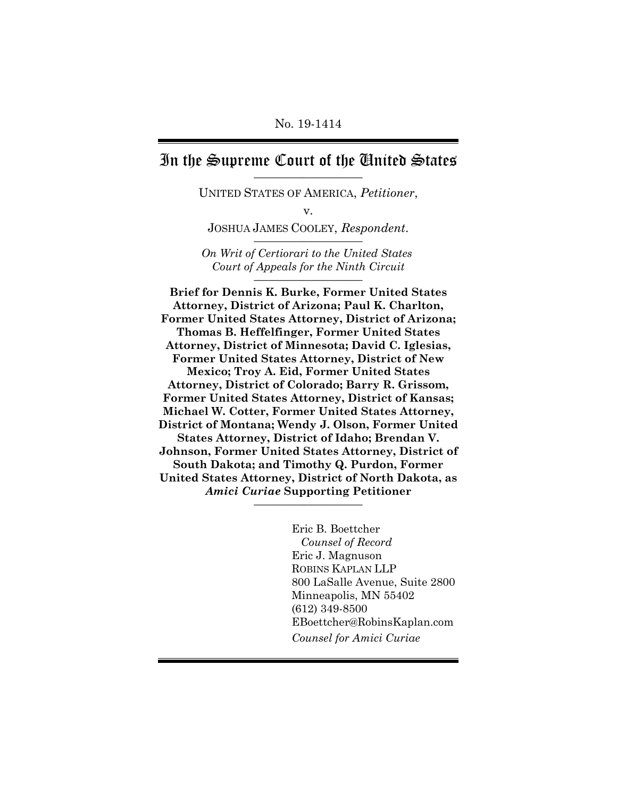## In the Supreme Court of the United States

UNITED STATES OF AMERICA, *Petitioner*,

v.

JOSHUA JAMES COOLEY, *Respondent*. \_\_\_\_\_\_\_\_\_\_\_\_\_\_\_\_\_\_

*On Writ of Certiorari to the United States Court of Appeals for the Ninth Circuit* \_\_\_\_\_\_\_\_\_\_\_\_\_\_\_\_\_\_

**Brief for Dennis K. Burke, Former United States Attorney, District of Arizona; Paul K. Charlton, Former United States Attorney, District of Arizona; Thomas B. Heffelfinger, Former United States Attorney, District of Minnesota; David C. Iglesias, Former United States Attorney, District of New Mexico; Troy A. Eid, Former United States Attorney, District of Colorado; Barry R. Grissom, Former United States Attorney, District of Kansas; Michael W. Cotter, Former United States Attorney, District of Montana; Wendy J. Olson, Former United States Attorney, District of Idaho; Brendan V. Johnson, Former United States Attorney, District of South Dakota; and Timothy Q. Purdon, Former United States Attorney, District of North Dakota, as** *Amici Curiae* **Supporting Petitioner** \_\_\_\_\_\_\_\_\_\_\_\_\_\_\_\_\_\_

> Eric B. Boettcher *Counsel of Record* Eric J. Magnuson ROBINS KAPLAN LLP 800 LaSalle Avenue, Suite 2800 Minneapolis, MN 55402 (612) 349-8500 EBoettcher@RobinsKaplan.com *Counsel for Amici Curiae*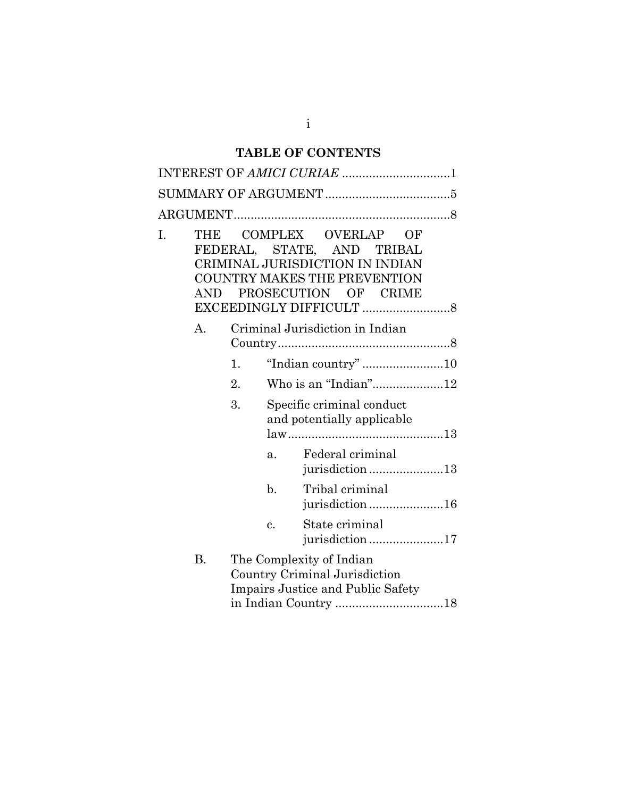## **TABLE OF CONTENTS**

|    |                   |    |                | INTEREST OF AMICI CURIAE 1                                                                                                                      |    |  |
|----|-------------------|----|----------------|-------------------------------------------------------------------------------------------------------------------------------------------------|----|--|
|    |                   |    |                |                                                                                                                                                 |    |  |
|    |                   |    |                |                                                                                                                                                 |    |  |
| I. | THE<br><b>AND</b> |    |                | COMPLEX OVERLAP<br>FEDERAL, STATE, AND TRIBAL<br>CRIMINAL JURISDICTION IN INDIAN<br><b>COUNTRY MAKES THE PREVENTION</b><br>PROSECUTION OF CRIME | OF |  |
|    | А.                |    |                | Criminal Jurisdiction in Indian                                                                                                                 |    |  |
|    |                   |    |                |                                                                                                                                                 |    |  |
|    |                   | 1. |                | "Indian country"10                                                                                                                              |    |  |
|    |                   | 2. |                | Who is an "Indian"12                                                                                                                            |    |  |
|    |                   | 3. |                | Specific criminal conduct<br>and potentially applicable                                                                                         |    |  |
|    |                   |    | a.             | Federal criminal<br>jurisdiction13                                                                                                              |    |  |
|    |                   |    | $\mathbf{b}$ . | Tribal criminal<br>jurisdiction16                                                                                                               |    |  |
|    |                   |    | c.             | State criminal<br>jurisdiction 17                                                                                                               |    |  |
|    | <b>B.</b>         |    |                | The Complexity of Indian<br>Country Criminal Jurisdiction<br>Impairs Justice and Public Safety                                                  |    |  |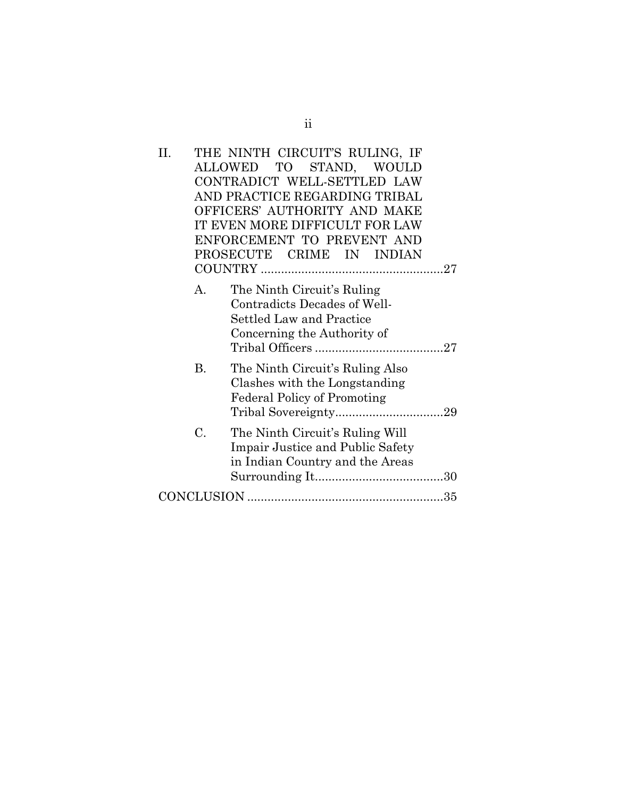| H. |           | THE NINTH CIRCUIT'S RULING, IF<br>ALLOWED TO STAND, WOULD<br>CONTRADICT WELL-SETTLED LAW<br>AND PRACTICE REGARDING TRIBAL<br>OFFICERS' AUTHORITY AND MAKE<br>IT EVEN MORE DIFFICULT FOR LAW<br>ENFORCEMENT TO PREVENT AND<br>PROSECUTE CRIME IN INDIAN |
|----|-----------|--------------------------------------------------------------------------------------------------------------------------------------------------------------------------------------------------------------------------------------------------------|
|    | А.        | The Ninth Circuit's Ruling<br>Contradicts Decades of Well-<br>Settled Law and Practice<br>Concerning the Authority of                                                                                                                                  |
|    | <b>B.</b> | The Ninth Circuit's Ruling Also<br>Clashes with the Longstanding<br><b>Federal Policy of Promoting</b>                                                                                                                                                 |
|    | C.        | The Ninth Circuit's Ruling Will<br>Impair Justice and Public Safety<br>in Indian Country and the Areas                                                                                                                                                 |
|    |           |                                                                                                                                                                                                                                                        |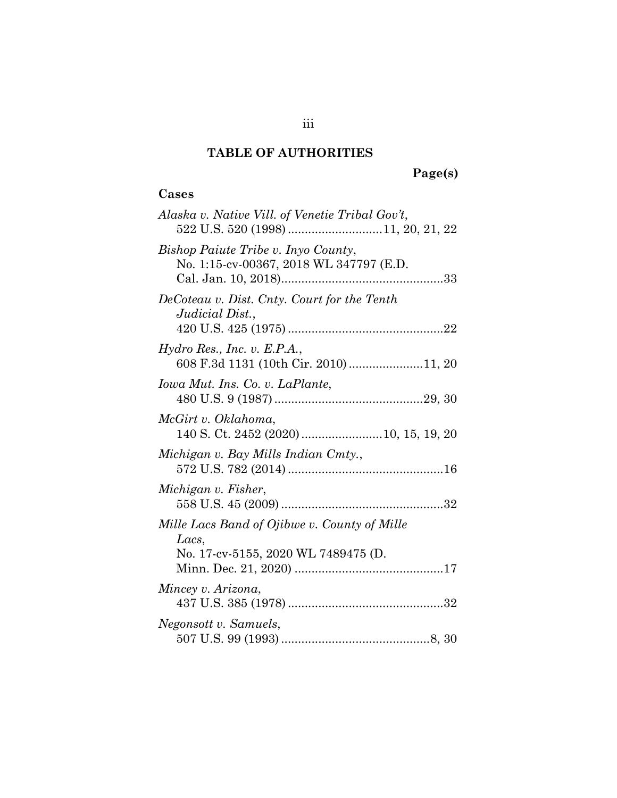## **TABLE OF AUTHORITIES**

# **Page(s)**

## **Cases**

| Alaska v. Native Vill. of Venetie Tribal Gov't,                                              |
|----------------------------------------------------------------------------------------------|
| Bishop Paiute Tribe v. Inyo County,<br>No. 1:15-cv-00367, 2018 WL 347797 (E.D.               |
| DeCoteau v. Dist. Cnty. Court for the Tenth<br>Judicial Dist.,                               |
| Hydro Res., Inc. v. E.P.A.,<br>608 F.3d 1131 (10th Cir. 2010)11, 20                          |
| Iowa Mut. Ins. Co. v. LaPlante,                                                              |
| McGirt v. Oklahoma,<br>140 S. Ct. 2452 (2020) 10, 15, 19, 20                                 |
| Michigan v. Bay Mills Indian Cmty.,                                                          |
| Michigan v. Fisher,                                                                          |
| Mille Lacs Band of Ojibwe v. County of Mille<br>Lacs,<br>No. 17-cv-5155, 2020 WL 7489475 (D. |
| Mincey v. Arizona,                                                                           |
| Negonsott v. Samuels,                                                                        |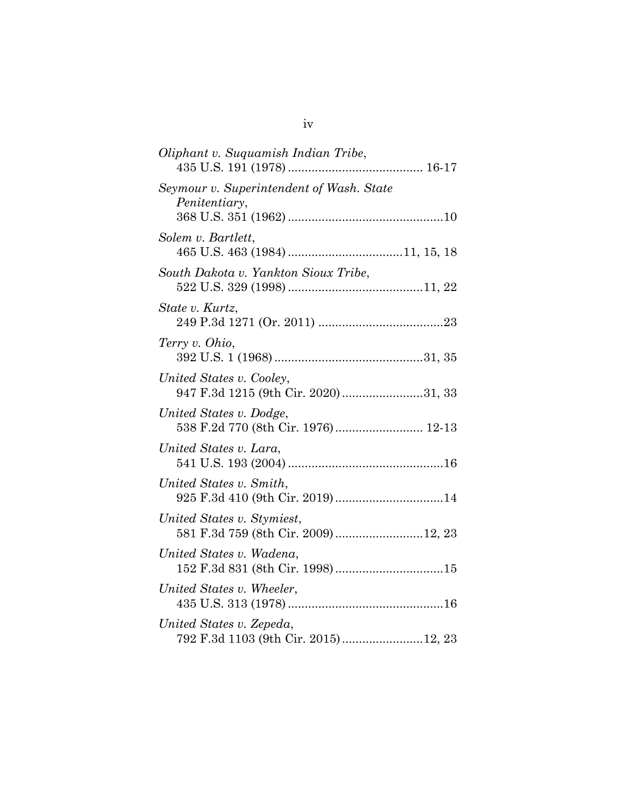| Oliphant v. Suquamish Indian Tribe,                              |
|------------------------------------------------------------------|
| Seymour v. Superintendent of Wash. State<br>Penitentiary,        |
| Solem v. Bartlett,                                               |
| South Dakota v. Yankton Sioux Tribe,                             |
| State v. Kurtz,                                                  |
| Terry v. Ohio,                                                   |
| United States v. Cooley,<br>947 F.3d 1215 (9th Cir. 2020) 31, 33 |
| United States v. Dodge,<br>538 F.2d 770 (8th Cir. 1976) 12-13    |
| United States v. Lara,                                           |
| United States v. Smith,<br>925 F.3d 410 (9th Cir. 2019) 14       |
| United States v. Stymiest,<br>581 F.3d 759 (8th Cir. 2009)12, 23 |
| United States v. Wadena,                                         |
| United States v. Wheeler,                                        |
| United States v. Zepeda,<br>792 F.3d 1103 (9th Cir. 2015)12, 23  |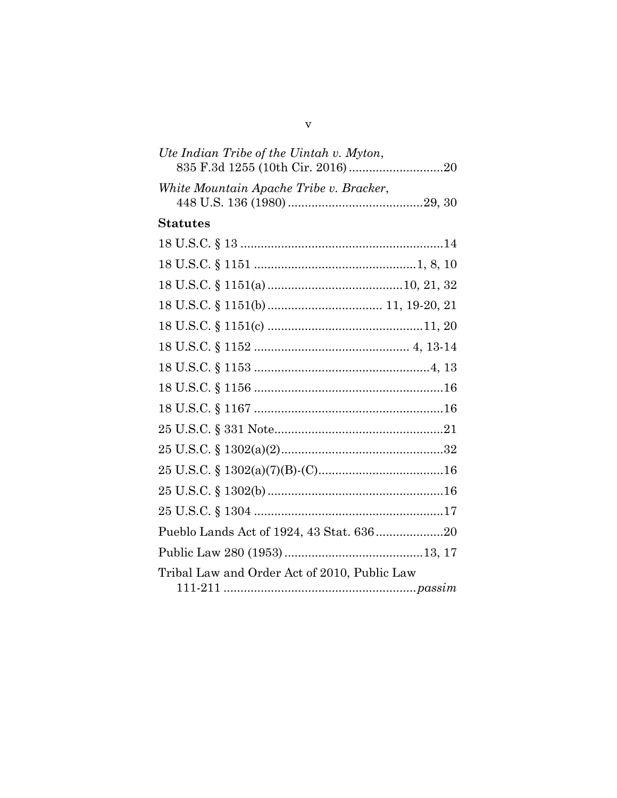| Ute Indian Tribe of the Uintah v. Myton,     |
|----------------------------------------------|
| White Mountain Apache Tribe v. Bracker,      |
| <b>Statutes</b>                              |
|                                              |
|                                              |
|                                              |
|                                              |
|                                              |
|                                              |
|                                              |
|                                              |
|                                              |
|                                              |
|                                              |
|                                              |
|                                              |
|                                              |
| Pueblo Lands Act of 1924, 43 Stat. 63620     |
|                                              |
| Tribal Law and Order Act of 2010, Public Law |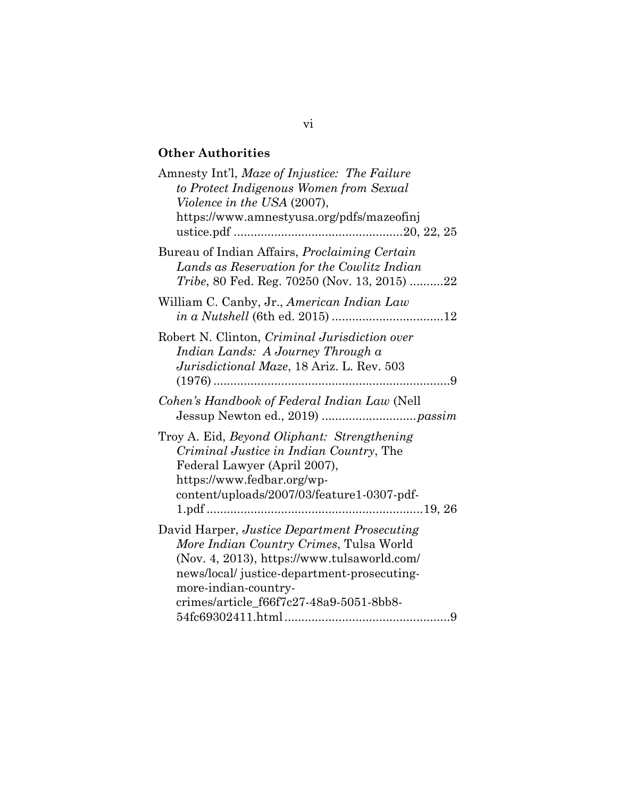## **Other Authorities**

| Amnesty Int'l, Maze of Injustice: The Failure<br>to Protect Indigenous Women from Sexual<br>Violence in the USA (2007),                                                                                                                                  |
|----------------------------------------------------------------------------------------------------------------------------------------------------------------------------------------------------------------------------------------------------------|
| https://www.amnestyusa.org/pdfs/mazeofinj                                                                                                                                                                                                                |
| Bureau of Indian Affairs, <i>Proclaiming Certain</i><br>Lands as Reservation for the Cowlitz Indian<br><i>Tribe</i> , 80 Fed. Reg. 70250 (Nov. 13, 2015) 22                                                                                              |
| William C. Canby, Jr., American Indian Law                                                                                                                                                                                                               |
| Robert N. Clinton, Criminal Jurisdiction over<br>Indian Lands: A Journey Through a<br>Jurisdictional Maze, 18 Ariz. L. Rev. 503<br>. 9                                                                                                                   |
| Cohen's Handbook of Federal Indian Law (Nell                                                                                                                                                                                                             |
| Troy A. Eid, Beyond Oliphant: Strengthening<br><i>Criminal Justice in Indian Country</i> , The<br>Federal Lawyer (April 2007),<br>https://www.fedbar.org/wp-<br>content/uploads/2007/03/feature1-0307-pdf-                                               |
| David Harper, Justice Department Prosecuting<br>More Indian Country Crimes, Tulsa World<br>(Nov. 4, 2013), https://www.tulsaworld.com/<br>news/local/ justice-department-prosecuting-<br>more-indian-country-<br>crimes/article_f66f7c27-48a9-5051-8bb8- |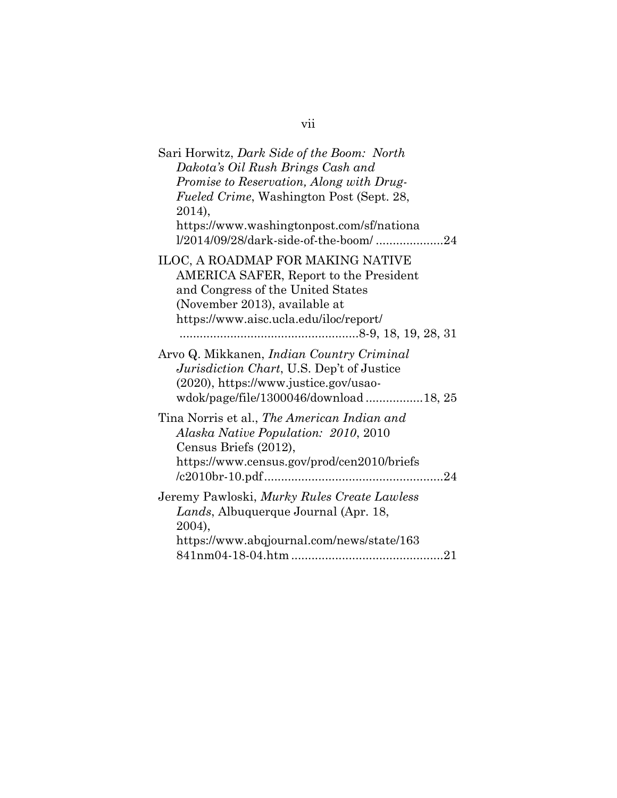| Sari Horwitz, Dark Side of the Boom: North                                                                                                                               |
|--------------------------------------------------------------------------------------------------------------------------------------------------------------------------|
| Dakota's Oil Rush Brings Cash and                                                                                                                                        |
| Promise to Reservation, Along with Drug-                                                                                                                                 |
| <i>Fueled Crime,</i> Washington Post (Sept. 28,                                                                                                                          |
| 2014),                                                                                                                                                                   |
| https://www.washingtonpost.com/sf/nationa<br>1/2014/09/28/dark-side-of-the-boom/24                                                                                       |
| ILOC, A ROADMAP FOR MAKING NATIVE<br><b>AMERICA SAFER, Report to the President</b>                                                                                       |
| and Congress of the United States                                                                                                                                        |
| (November 2013), available at                                                                                                                                            |
| https://www.aisc.ucla.edu/iloc/report/                                                                                                                                   |
|                                                                                                                                                                          |
| Arvo Q. Mikkanen, Indian Country Criminal<br>Jurisdiction Chart, U.S. Dep't of Justice<br>(2020), https://www.justice.gov/usao-<br>wdok/page/file/1300046/download18, 25 |
| Tina Norris et al., The American Indian and<br>Alaska Native Population: 2010, 2010<br>Census Briefs (2012),<br>https://www.census.gov/prod/cen2010/briefs               |
|                                                                                                                                                                          |
| Jeremy Pawloski, Murky Rules Create Lawless<br>Lands, Albuquerque Journal (Apr. 18,<br>2004),                                                                            |
| https://www.abqjournal.com/news/state/163                                                                                                                                |
|                                                                                                                                                                          |

# vii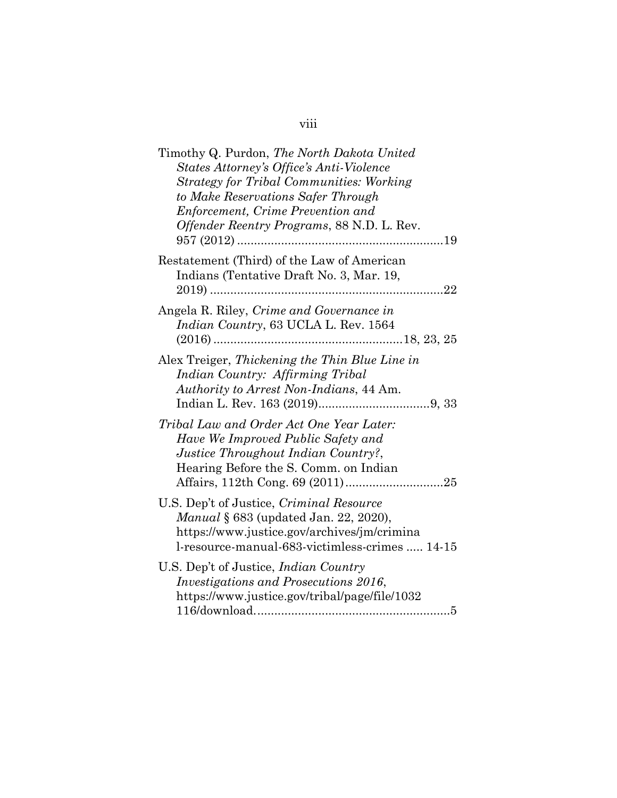## viii

| Timothy Q. Purdon, The North Dakota United<br>States Attorney's Office's Anti-Violence<br><b>Strategy for Tribal Communities: Working</b><br>to Make Reservations Safer Through<br>Enforcement, Crime Prevention and<br>Offender Reentry Programs, 88 N.D. L. Rev. |
|--------------------------------------------------------------------------------------------------------------------------------------------------------------------------------------------------------------------------------------------------------------------|
| Restatement (Third) of the Law of American<br>Indians (Tentative Draft No. 3, Mar. 19,                                                                                                                                                                             |
| Angela R. Riley, Crime and Governance in<br>Indian Country, 63 UCLA L. Rev. 1564                                                                                                                                                                                   |
| Alex Treiger, Thickening the Thin Blue Line in<br>Indian Country: Affirming Tribal<br>Authority to Arrest Non-Indians, 44 Am.                                                                                                                                      |
| Tribal Law and Order Act One Year Later:<br>Have We Improved Public Safety and<br>Justice Throughout Indian Country?,<br>Hearing Before the S. Comm. on Indian                                                                                                     |
| U.S. Dep't of Justice, Criminal Resource<br><i>Manual</i> § 683 (updated Jan. 22, 2020),<br>https://www.justice.gov/archives/jm/crimina<br>l-resource-manual-683-victimless-crimes  14-15                                                                          |
| U.S. Dep't of Justice, <i>Indian Country</i><br>Investigations and Prosecutions 2016,<br>https://www.justice.gov/tribal/page/file/1032                                                                                                                             |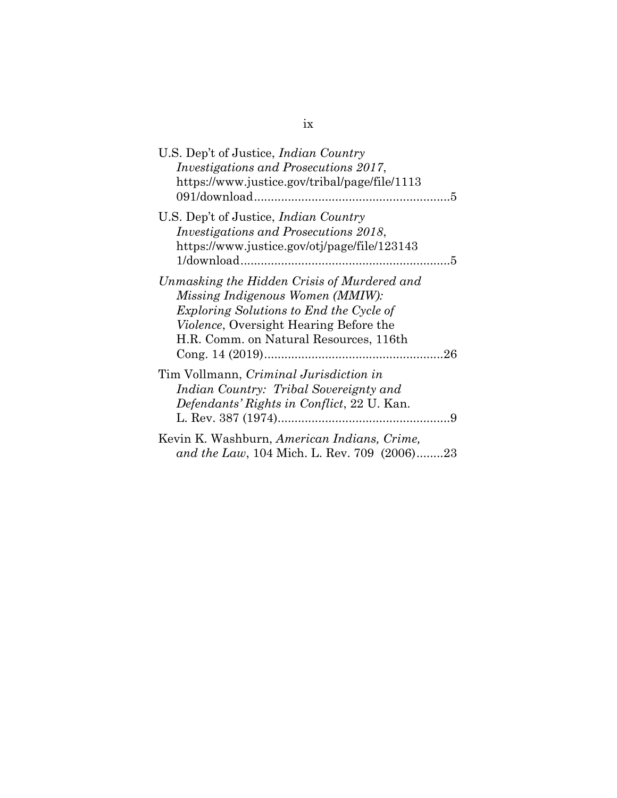| U.S. Dep't of Justice, <i>Indian Country</i><br><i>Investigations and Prosecutions 2017,</i><br>https://www.justice.gov/tribal/page/file/1113                                                                                 |
|-------------------------------------------------------------------------------------------------------------------------------------------------------------------------------------------------------------------------------|
| U.S. Dep't of Justice, <i>Indian Country</i><br><i>Investigations and Prosecutions 2018,</i><br>https://www.justice.gov/otj/page/file/123143                                                                                  |
| Unmasking the Hidden Crisis of Murdered and<br><i>Missing Indigenous Women (MMIW):</i><br>Exploring Solutions to End the Cycle of<br><i>Violence</i> , Oversight Hearing Before the<br>H.R. Comm. on Natural Resources, 116th |
| Tim Vollmann, Criminal Jurisdiction in<br>Indian Country: Tribal Sovereignty and<br>Defendants' Rights in Conflict, 22 U. Kan.                                                                                                |
| Kevin K. Washburn, American Indians, Crime,<br>and the Law, 104 Mich. L. Rev. 709 (2006)23                                                                                                                                    |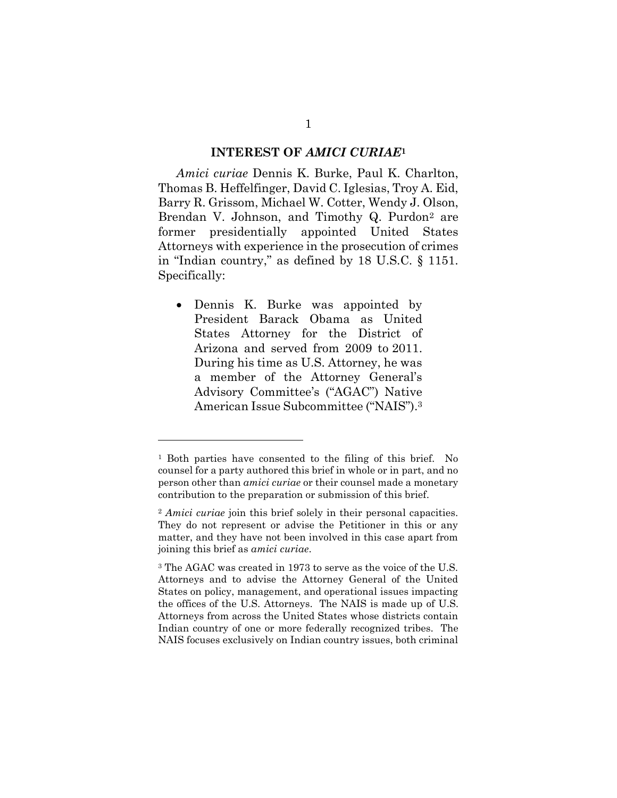#### <span id="page-10-0"></span>**INTEREST OF** *AMICI CURIAE***<sup>1</sup>**

*Amici curiae* Dennis K. Burke, Paul K. Charlton, Thomas B. Heffelfinger, David C. Iglesias, Troy A. Eid, Barry R. Grissom, Michael W. Cotter, Wendy J. Olson, Brendan V. Johnson, and Timothy Q. Purdon<sup>2</sup> are former presidentially appointed United States Attorneys with experience in the prosecution of crimes in "Indian country," as defined by 18 U.S.C. § 1151. Specifically:

 Dennis K. Burke was appointed by President Barack Obama as United States Attorney for the District of Arizona and served from 2009 to 2011. During his time as U.S. Attorney, he was a member of the Attorney General's Advisory Committee's ("AGAC") Native American Issue Subcommittee ("NAIS").<sup>3</sup>

l

<sup>1</sup> Both parties have consented to the filing of this brief. No counsel for a party authored this brief in whole or in part, and no person other than *amici curiae* or their counsel made a monetary contribution to the preparation or submission of this brief.

<sup>2</sup> *Amici curiae* join this brief solely in their personal capacities. They do not represent or advise the Petitioner in this or any matter, and they have not been involved in this case apart from joining this brief as *amici curiae*.

<sup>3</sup> The AGAC was created in 1973 to serve as the voice of the U.S. Attorneys and to advise the Attorney General of the United States on policy, management, and operational issues impacting the offices of the U.S. Attorneys. The NAIS is made up of U.S. Attorneys from across the United States whose districts contain Indian country of one or more federally recognized tribes. The NAIS focuses exclusively on Indian country issues, both criminal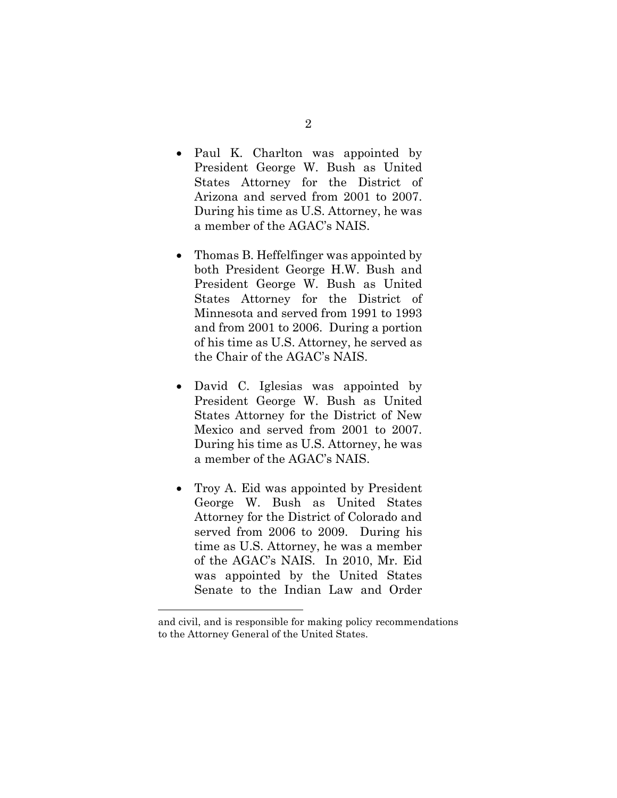- Paul K. Charlton was appointed by President George W. Bush as United States Attorney for the District of Arizona and served from 2001 to 2007. During his time as U.S. Attorney, he was a member of the AGAC's NAIS.
- Thomas B. Heffelfinger was appointed by both President George H.W. Bush and President George W. Bush as United States Attorney for the District of Minnesota and served from 1991 to 1993 and from 2001 to 2006. During a portion of his time as U.S. Attorney, he served as the Chair of the AGAC's NAIS.
- David C. Iglesias was appointed by President George W. Bush as United States Attorney for the District of New Mexico and served from 2001 to 2007. During his time as U.S. Attorney, he was a member of the AGAC's NAIS.
- Troy A. Eid was appointed by President George W. Bush as United States Attorney for the District of Colorado and served from 2006 to 2009. During his time as U.S. Attorney, he was a member of the AGAC's NAIS. In 2010, Mr. Eid was appointed by the United States Senate to the Indian Law and Order

and civil, and is responsible for making policy recommendations to the Attorney General of the United States.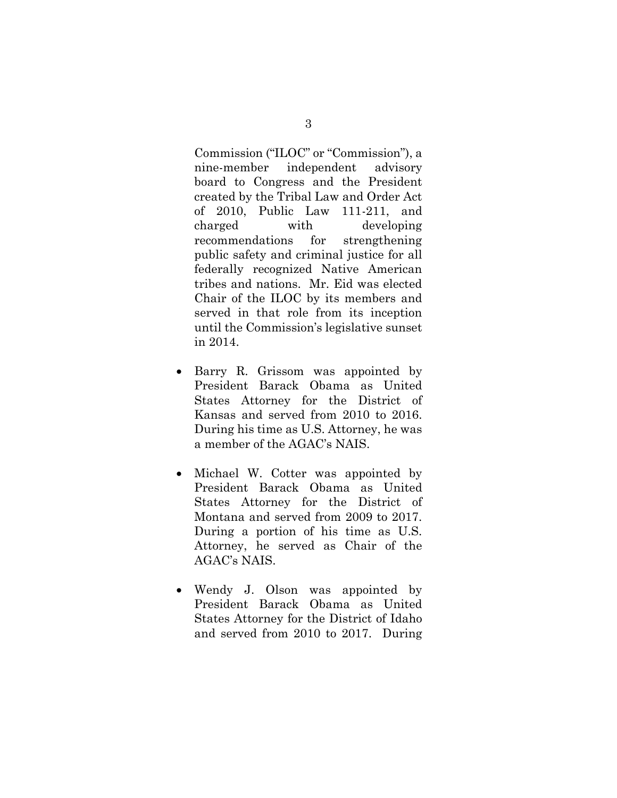Commission ("ILOC" or "Commission"), a nine-member independent advisory board to Congress and the President created by the Tribal Law and Order Act of 2010, Public Law 111-211, and charged with developing recommendations for strengthening public safety and criminal justice for all federally recognized Native American tribes and nations. Mr. Eid was elected Chair of the ILOC by its members and served in that role from its inception until the Commission's legislative sunset in 2014.

- Barry R. Grissom was appointed by President Barack Obama as United States Attorney for the District of Kansas and served from 2010 to 2016. During his time as U.S. Attorney, he was a member of the AGAC's NAIS.
- Michael W. Cotter was appointed by President Barack Obama as United States Attorney for the District of Montana and served from 2009 to 2017. During a portion of his time as U.S. Attorney, he served as Chair of the AGAC's NAIS.
- Wendy J. Olson was appointed by President Barack Obama as United States Attorney for the District of Idaho and served from 2010 to 2017. During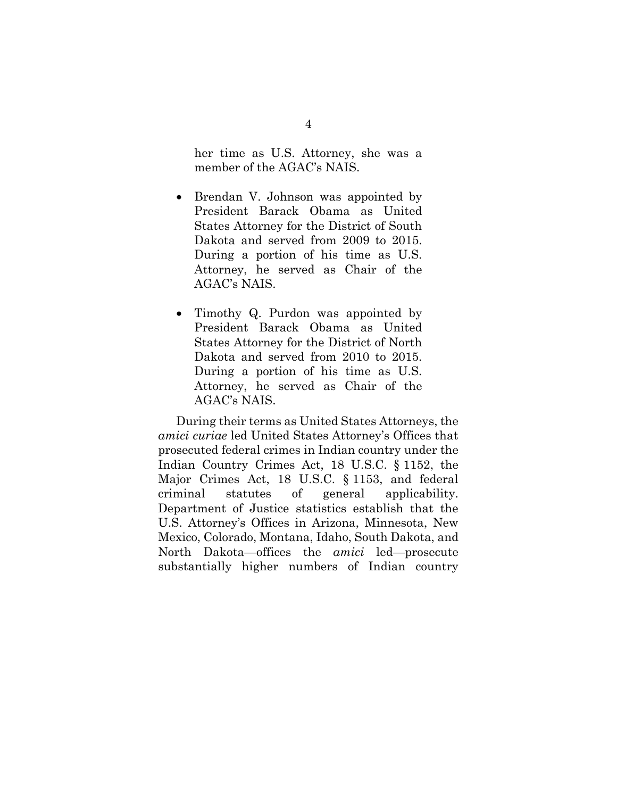her time as U.S. Attorney, she was a member of the AGAC's NAIS.

- Brendan V. Johnson was appointed by President Barack Obama as United States Attorney for the District of South Dakota and served from 2009 to 2015. During a portion of his time as U.S. Attorney, he served as Chair of the AGAC's NAIS.
- Timothy Q. Purdon was appointed by President Barack Obama as United States Attorney for the District of North Dakota and served from 2010 to 2015. During a portion of his time as U.S. Attorney, he served as Chair of the AGAC's NAIS.

<span id="page-13-1"></span><span id="page-13-0"></span>During their terms as United States Attorneys, the *amici curiae* led United States Attorney's Offices that prosecuted federal crimes in Indian country under the Indian Country Crimes Act, 18 U.S.C. § 1152, the Major Crimes Act, 18 U.S.C. § 1153, and federal criminal statutes of general applicability. Department of Justice statistics establish that the U.S. Attorney's Offices in Arizona, Minnesota, New Mexico, Colorado, Montana, Idaho, South Dakota, and North Dakota—offices the *amici* led—prosecute substantially higher numbers of Indian country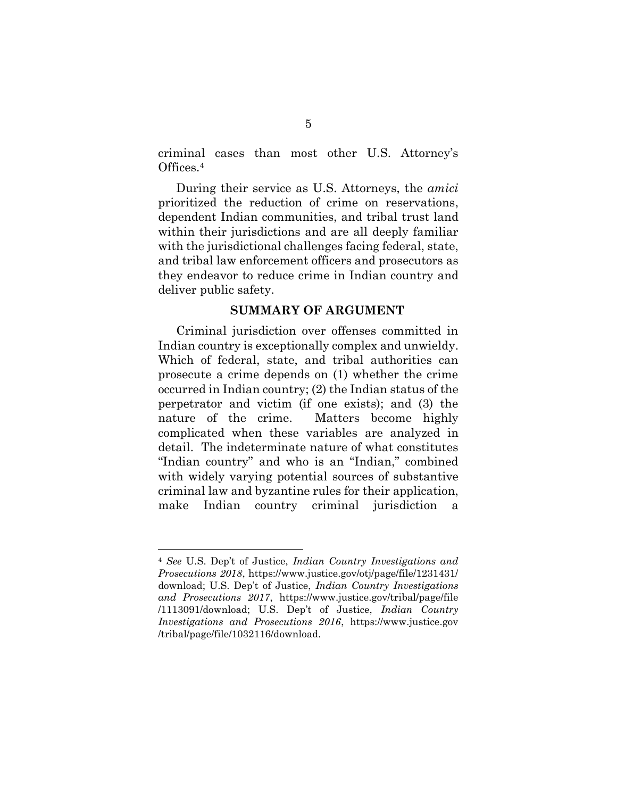criminal cases than most other U.S. Attorney's Offices.<sup>4</sup>

During their service as U.S. Attorneys, the *amici*  prioritized the reduction of crime on reservations, dependent Indian communities, and tribal trust land within their jurisdictions and are all deeply familiar with the jurisdictional challenges facing federal, state, and tribal law enforcement officers and prosecutors as they endeavor to reduce crime in Indian country and deliver public safety.

### **SUMMARY OF ARGUMENT**

Criminal jurisdiction over offenses committed in Indian country is exceptionally complex and unwieldy. Which of federal, state, and tribal authorities can prosecute a crime depends on (1) whether the crime occurred in Indian country; (2) the Indian status of the perpetrator and victim (if one exists); and (3) the nature of the crime. Matters become highly complicated when these variables are analyzed in detail. The indeterminate nature of what constitutes "Indian country" and who is an "Indian," combined with widely varying potential sources of substantive criminal law and byzantine rules for their application, make Indian country criminal jurisdiction a

<span id="page-14-2"></span><span id="page-14-1"></span><span id="page-14-0"></span><sup>4</sup> *See* U.S. Dep't of Justice, *Indian Country Investigations and Prosecutions 2018*, https://www.justice.gov/otj/page/file/1231431/ download; U.S. Dep't of Justice, *Indian Country Investigations and Prosecutions 2017*, https://www.justice.gov/tribal/page/file /1113091/download; U.S. Dep't of Justice, *Indian Country Investigations and Prosecutions 2016*, https://www.justice.gov /tribal/page/file/1032116/download.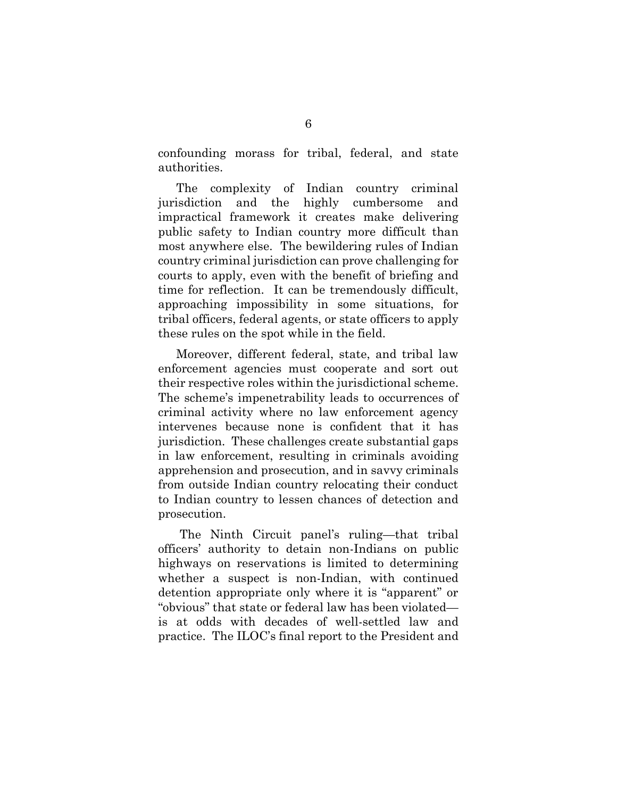confounding morass for tribal, federal, and state authorities.

The complexity of Indian country criminal jurisdiction and the highly cumbersome and impractical framework it creates make delivering public safety to Indian country more difficult than most anywhere else. The bewildering rules of Indian country criminal jurisdiction can prove challenging for courts to apply, even with the benefit of briefing and time for reflection. It can be tremendously difficult, approaching impossibility in some situations, for tribal officers, federal agents, or state officers to apply these rules on the spot while in the field.

Moreover, different federal, state, and tribal law enforcement agencies must cooperate and sort out their respective roles within the jurisdictional scheme. The scheme's impenetrability leads to occurrences of criminal activity where no law enforcement agency intervenes because none is confident that it has jurisdiction. These challenges create substantial gaps in law enforcement, resulting in criminals avoiding apprehension and prosecution, and in savvy criminals from outside Indian country relocating their conduct to Indian country to lessen chances of detection and prosecution.

The Ninth Circuit panel's ruling—that tribal officers' authority to detain non-Indians on public highways on reservations is limited to determining whether a suspect is non-Indian, with continued detention appropriate only where it is "apparent" or "obvious" that state or federal law has been violated is at odds with decades of well-settled law and practice. The ILOC's final report to the President and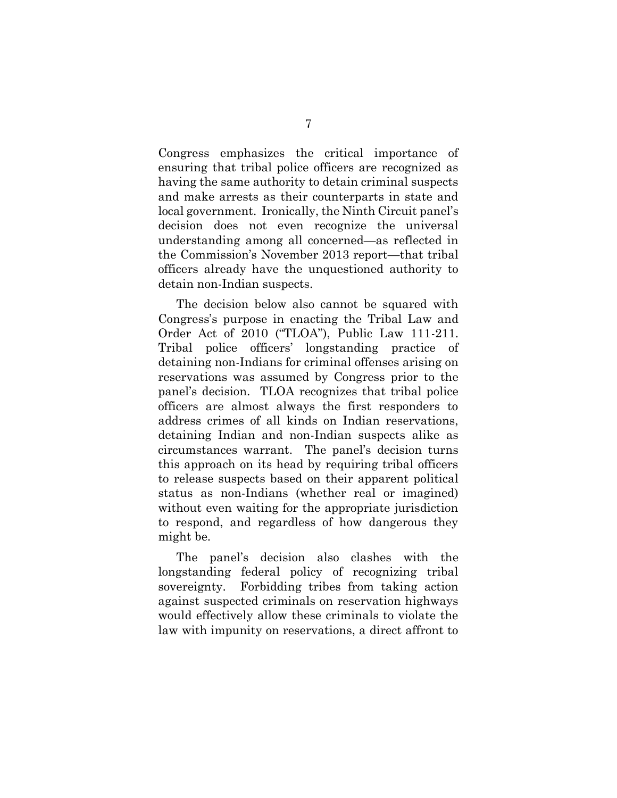Congress emphasizes the critical importance of ensuring that tribal police officers are recognized as having the same authority to detain criminal suspects and make arrests as their counterparts in state and local government. Ironically, the Ninth Circuit panel's decision does not even recognize the universal understanding among all concerned—as reflected in the Commission's November 2013 report—that tribal officers already have the unquestioned authority to detain non-Indian suspects.

The decision below also cannot be squared with Congress's purpose in enacting the Tribal Law and Order Act of 2010 ("TLOA"), Public Law 111-211. Tribal police officers' longstanding practice of detaining non-Indians for criminal offenses arising on reservations was assumed by Congress prior to the panel's decision. TLOA recognizes that tribal police officers are almost always the first responders to address crimes of all kinds on Indian reservations, detaining Indian and non-Indian suspects alike as circumstances warrant. The panel's decision turns this approach on its head by requiring tribal officers to release suspects based on their apparent political status as non-Indians (whether real or imagined) without even waiting for the appropriate jurisdiction to respond, and regardless of how dangerous they might be.

The panel's decision also clashes with the longstanding federal policy of recognizing tribal sovereignty. Forbidding tribes from taking action against suspected criminals on reservation highways would effectively allow these criminals to violate the law with impunity on reservations, a direct affront to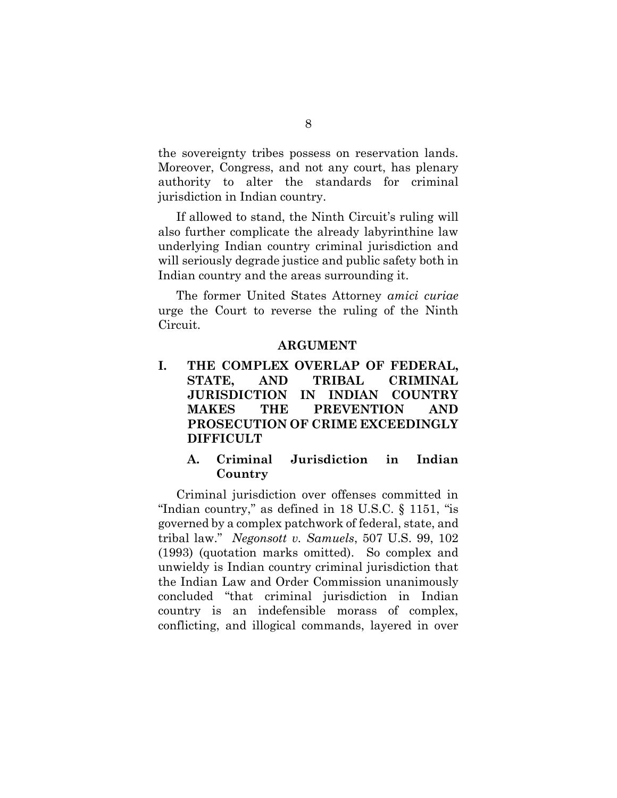the sovereignty tribes possess on reservation lands. Moreover, Congress, and not any court, has plenary authority to alter the standards for criminal jurisdiction in Indian country.

If allowed to stand, the Ninth Circuit's ruling will also further complicate the already labyrinthine law underlying Indian country criminal jurisdiction and will seriously degrade justice and public safety both in Indian country and the areas surrounding it.

The former United States Attorney *amici curiae* urge the Court to reverse the ruling of the Ninth Circuit.

### **ARGUMENT**

**I. THE COMPLEX OVERLAP OF FEDERAL, STATE, AND TRIBAL CRIMINAL JURISDICTION IN INDIAN COUNTRY MAKES THE PREVENTION AND PROSECUTION OF CRIME EXCEEDINGLY DIFFICULT**

### <span id="page-17-1"></span>**A. Criminal Jurisdiction in Indian Country**

<span id="page-17-0"></span>Criminal jurisdiction over offenses committed in "Indian country," as defined in 18 U.S.C. § 1151, "is governed by a complex patchwork of federal, state, and tribal law." *Negonsott v. Samuels*, 507 U.S. 99, 102 (1993) (quotation marks omitted). So complex and unwieldy is Indian country criminal jurisdiction that the Indian Law and Order Commission unanimously concluded "that criminal jurisdiction in Indian country is an indefensible morass of complex, conflicting, and illogical commands, layered in over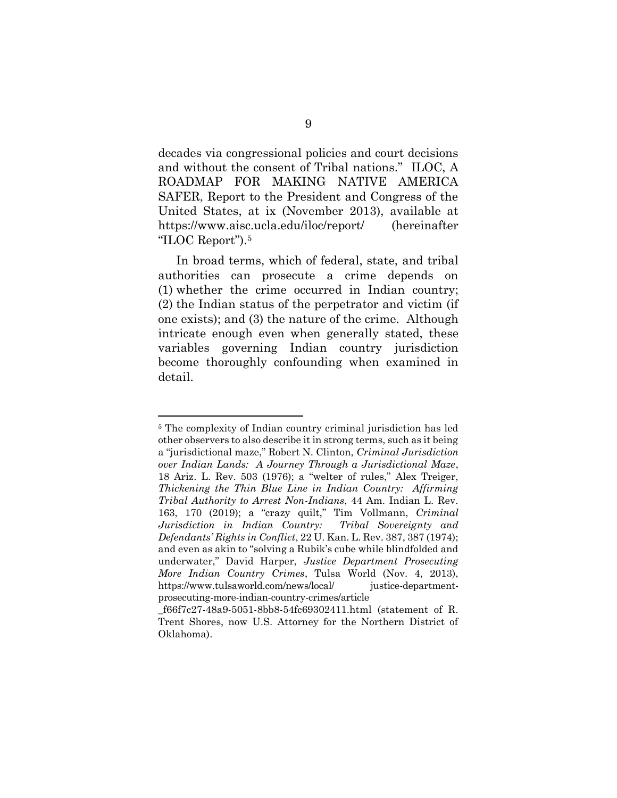<span id="page-18-2"></span>decades via congressional policies and court decisions and without the consent of Tribal nations." ILOC, A ROADMAP FOR MAKING NATIVE AMERICA SAFER, Report to the President and Congress of the United States, at ix (November 2013), available at https://www.aisc.ucla.edu/iloc/report/ (hereinafter "ILOC Report"). 5

In broad terms, which of federal, state, and tribal authorities can prosecute a crime depends on (1) whether the crime occurred in Indian country; (2) the Indian status of the perpetrator and victim (if one exists); and (3) the nature of the crime. Although intricate enough even when generally stated, these variables governing Indian country jurisdiction become thoroughly confounding when examined in detail.

<span id="page-18-3"></span><span id="page-18-0"></span><sup>5</sup> The complexity of Indian country criminal jurisdiction has led other observers to also describe it in strong terms, such as it being a "jurisdictional maze," Robert N. Clinton, *Criminal Jurisdiction over Indian Lands: A Journey Through a Jurisdictional Maze*, 18 Ariz. L. Rev. 503 (1976); a "welter of rules," Alex Treiger, *Thickening the Thin Blue Line in Indian Country: Affirming Tribal Authority to Arrest Non-Indians*, 44 Am. Indian L. Rev. 163, 170 (2019); a "crazy quilt," Tim Vollmann, *Criminal Jurisdiction in Indian Country: Tribal Sovereignty and Defendants' Rights in Conflict*, 22 U. Kan. L. Rev. 387, 387 (1974); and even as akin to "solving a Rubik's cube while blindfolded and underwater," David Harper, *Justice Department Prosecuting More Indian Country Crimes*, Tulsa World (Nov. 4, 2013), https://www.tulsaworld.com/news/local/ justice-departmentprosecuting-more-indian-country-crimes/article

<span id="page-18-1"></span>\_f66f7c27-48a9-5051-8bb8-54fc69302411.html (statement of R. Trent Shores, now U.S. Attorney for the Northern District of Oklahoma).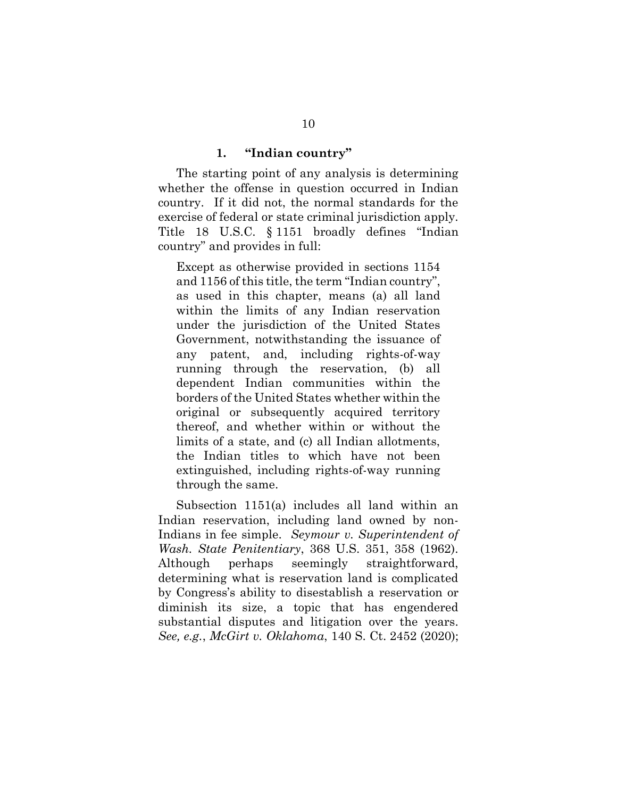#### **1. "Indian country"**

The starting point of any analysis is determining whether the offense in question occurred in Indian country. If it did not, the normal standards for the exercise of federal or state criminal jurisdiction apply. Title 18 U.S.C. § 1151 broadly defines "Indian country" and provides in full:

<span id="page-19-2"></span>Except as otherwise provided in sections 1154 and 1156 of this title, the term "Indian country", as used in this chapter, means (a) all land within the limits of any Indian reservation under the jurisdiction of the United States Government, notwithstanding the issuance of any patent, and, including rights-of-way running through the reservation, (b) all dependent Indian communities within the borders of the United States whether within the original or subsequently acquired territory thereof, and whether within or without the limits of a state, and (c) all Indian allotments, the Indian titles to which have not been extinguished, including rights-of-way running through the same.

<span id="page-19-3"></span><span id="page-19-1"></span><span id="page-19-0"></span>Subsection 1151(a) includes all land within an Indian reservation, including land owned by non-Indians in fee simple. *Seymour v. Superintendent of Wash. State Penitentiary*, 368 U.S. 351, 358 (1962). Although perhaps seemingly straightforward, determining what is reservation land is complicated by Congress's ability to disestablish a reservation or diminish its size, a topic that has engendered substantial disputes and litigation over the years. *See, e.g.*, *McGirt v. Oklahoma*, 140 S. Ct. 2452 (2020);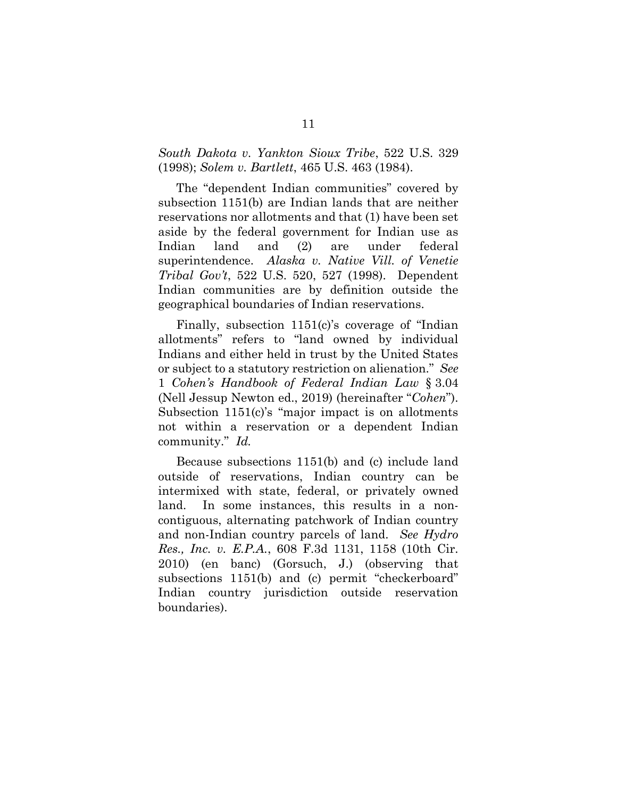### <span id="page-20-3"></span><span id="page-20-2"></span>*South Dakota v. Yankton Sioux Tribe*, 522 U.S. 329 (1998); *Solem v. Bartlett*, 465 U.S. 463 (1984).

The "dependent Indian communities" covered by subsection 1151(b) are Indian lands that are neither reservations nor allotments and that (1) have been set aside by the federal government for Indian use as Indian land and (2) are under federal superintendence. *Alaska v. Native Vill. of Venetie Tribal Gov't*, 522 U.S. 520, 527 (1998). Dependent Indian communities are by definition outside the geographical boundaries of Indian reservations.

<span id="page-20-0"></span>Finally, subsection 1151(c)'s coverage of "Indian allotments" refers to "land owned by individual Indians and either held in trust by the United States or subject to a statutory restriction on alienation." *See* 1 *Cohen's Handbook of Federal Indian Law* § 3.04 (Nell Jessup Newton ed., 2019) (hereinafter "*Cohen*"). Subsection 1151(c)'s "major impact is on allotments not within a reservation or a dependent Indian community." *Id.*

<span id="page-20-1"></span>Because subsections 1151(b) and (c) include land outside of reservations, Indian country can be intermixed with state, federal, or privately owned land. In some instances, this results in a noncontiguous, alternating patchwork of Indian country and non-Indian country parcels of land. *See Hydro Res., Inc. v. E.P.A.*, 608 F.3d 1131, 1158 (10th Cir. 2010) (en banc) (Gorsuch, J.) (observing that subsections 1151(b) and (c) permit "checkerboard" Indian country jurisdiction outside reservation boundaries).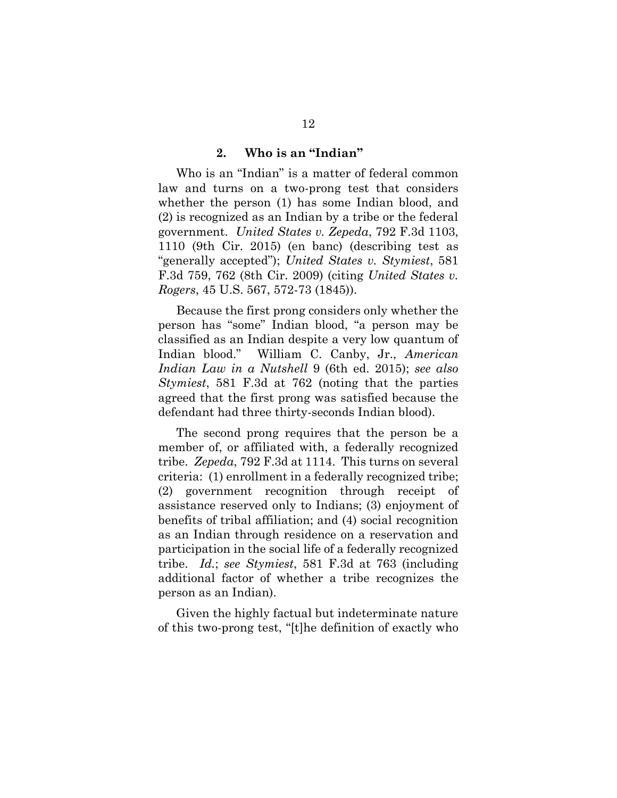#### **2. Who is an "Indian"**

Who is an "Indian" is a matter of federal common law and turns on a two-prong test that considers whether the person (1) has some Indian blood, and (2) is recognized as an Indian by a tribe or the federal government. *United States v. Zepeda*, 792 F.3d 1103, 1110 (9th Cir. 2015) (en banc) (describing test as "generally accepted"); *United States v. Stymiest*, 581 F.3d 759, 762 (8th Cir. 2009) (citing *United States v. Rogers*, 45 U.S. 567, 572-73 (1845)).

<span id="page-21-2"></span>Because the first prong considers only whether the person has "some" Indian blood, "a person may be classified as an Indian despite a very low quantum of Indian blood." William C. Canby, Jr., *American Indian Law in a Nutshell* 9 (6th ed. 2015); *see also Stymiest*, 581 F.3d at 762 (noting that the parties agreed that the first prong was satisfied because the defendant had three thirty-seconds Indian blood).

<span id="page-21-1"></span>The second prong requires that the person be a member of, or affiliated with, a federally recognized tribe. *Zepeda*, 792 F.3d at 1114. This turns on several criteria: (1) enrollment in a federally recognized tribe; (2) government recognition through receipt of assistance reserved only to Indians; (3) enjoyment of benefits of tribal affiliation; and (4) social recognition as an Indian through residence on a reservation and participation in the social life of a federally recognized tribe. *Id.*; *see Stymiest*, 581 F.3d at 763 (including additional factor of whether a tribe recognizes the person as an Indian).

<span id="page-21-0"></span>Given the highly factual but indeterminate nature of this two-prong test, "[t]he definition of exactly who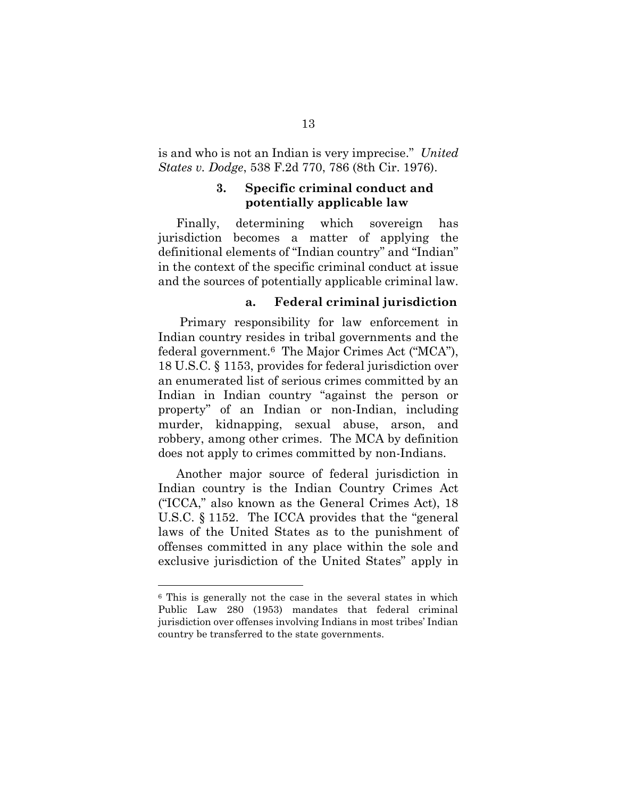is and who is not an Indian is very imprecise." *United States v. Dodge*, 538 F.2d 770, 786 (8th Cir. 1976).

### <span id="page-22-0"></span>**3. Specific criminal conduct and potentially applicable law**

Finally, determining which sovereign has jurisdiction becomes a matter of applying the definitional elements of "Indian country" and "Indian" in the context of the specific criminal conduct at issue and the sources of potentially applicable criminal law.

#### <span id="page-22-2"></span>**a. Federal criminal jurisdiction**

Primary responsibility for law enforcement in Indian country resides in tribal governments and the federal government.6 The Major Crimes Act ("MCA"), 18 U.S.C. § 1153, provides for federal jurisdiction over an enumerated list of serious crimes committed by an Indian in Indian country "against the person or property" of an Indian or non-Indian, including murder, kidnapping, sexual abuse, arson, and robbery, among other crimes. The MCA by definition does not apply to crimes committed by non-Indians.

<span id="page-22-1"></span>Another major source of federal jurisdiction in Indian country is the Indian Country Crimes Act ("ICCA," also known as the General Crimes Act), 18 U.S.C. § 1152. The ICCA provides that the "general laws of the United States as to the punishment of offenses committed in any place within the sole and exclusive jurisdiction of the United States" apply in

<sup>6</sup> This is generally not the case in the several states in which Public Law 280 (1953) mandates that federal criminal jurisdiction over offenses involving Indians in most tribes' Indian country be transferred to the state governments.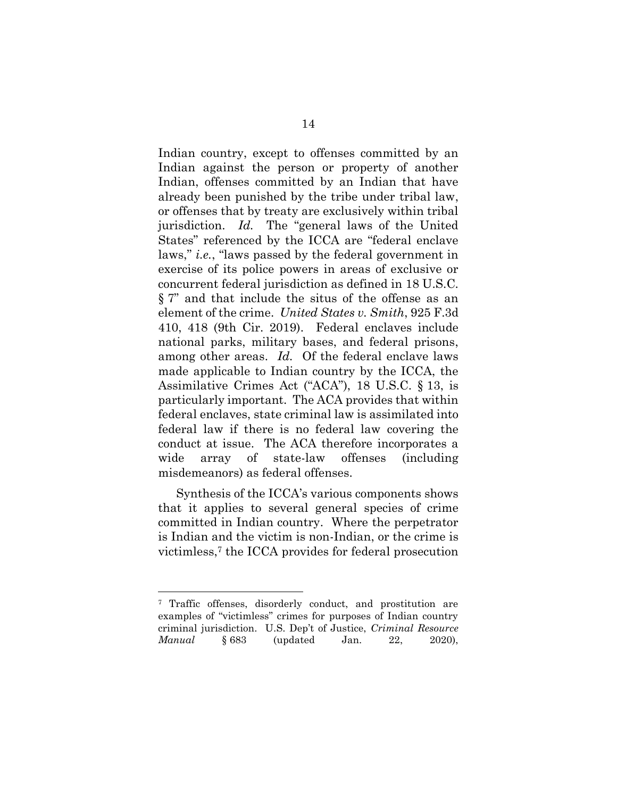<span id="page-23-0"></span>Indian country, except to offenses committed by an Indian against the person or property of another Indian, offenses committed by an Indian that have already been punished by the tribe under tribal law, or offenses that by treaty are exclusively within tribal jurisdiction. *Id.* The "general laws of the United States" referenced by the ICCA are "federal enclave laws," *i.e.*, "laws passed by the federal government in exercise of its police powers in areas of exclusive or concurrent federal jurisdiction as defined in 18 U.S.C. § 7" and that include the situs of the offense as an element of the crime. *United States v. Smith*, 925 F.3d 410, 418 (9th Cir. 2019). Federal enclaves include national parks, military bases, and federal prisons, among other areas. *Id.* Of the federal enclave laws made applicable to Indian country by the ICCA, the Assimilative Crimes Act ("ACA"), 18 U.S.C. § 13, is particularly important. The ACA provides that within federal enclaves, state criminal law is assimilated into federal law if there is no federal law covering the conduct at issue. The ACA therefore incorporates a wide array of state-law offenses (including misdemeanors) as federal offenses.

<span id="page-23-1"></span>Synthesis of the ICCA's various components shows that it applies to several general species of crime committed in Indian country. Where the perpetrator is Indian and the victim is non-Indian, or the crime is victimless, <sup>7</sup> the ICCA provides for federal prosecution

<span id="page-23-2"></span><sup>&</sup>lt;sup>7</sup> Traffic offenses, disorderly conduct, and prostitution are examples of "victimless" crimes for purposes of Indian country criminal jurisdiction. U.S. Dep't of Justice, *Criminal Resource Manual* § 683 (updated Jan. 22, 2020),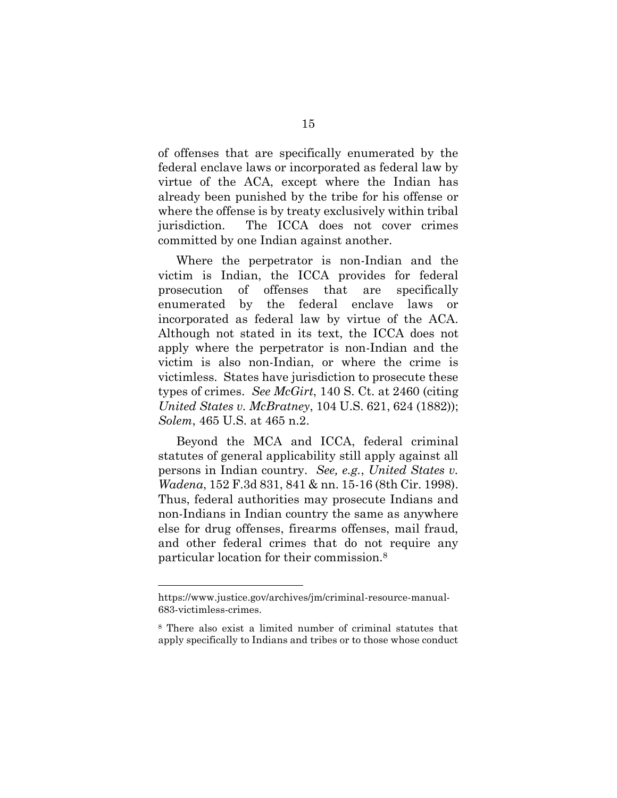of offenses that are specifically enumerated by the federal enclave laws or incorporated as federal law by virtue of the ACA, except where the Indian has already been punished by the tribe for his offense or where the offense is by treaty exclusively within tribal jurisdiction. The ICCA does not cover crimes committed by one Indian against another.

Where the perpetrator is non-Indian and the victim is Indian, the ICCA provides for federal prosecution of offenses that are specifically enumerated by the federal enclave laws or incorporated as federal law by virtue of the ACA. Although not stated in its text, the ICCA does not apply where the perpetrator is non-Indian and the victim is also non-Indian, or where the crime is victimless. States have jurisdiction to prosecute these types of crimes. *See McGirt*, 140 S. Ct. at 2460 (citing *United States v. McBratney*, 104 U.S. 621, 624 (1882)); *Solem*, 465 U.S. at 465 n.2.

<span id="page-24-2"></span><span id="page-24-1"></span><span id="page-24-0"></span>Beyond the MCA and ICCA, federal criminal statutes of general applicability still apply against all persons in Indian country. *See, e.g.*, *United States v. Wadena*, 152 F.3d 831, 841 & nn. 15-16 (8th Cir. 1998). Thus, federal authorities may prosecute Indians and non-Indians in Indian country the same as anywhere else for drug offenses, firearms offenses, mail fraud, and other federal crimes that do not require any particular location for their commission.<sup>8</sup>

https://www.justice.gov/archives/jm/criminal-resource-manual-683-victimless-crimes.

<sup>8</sup> There also exist a limited number of criminal statutes that apply specifically to Indians and tribes or to those whose conduct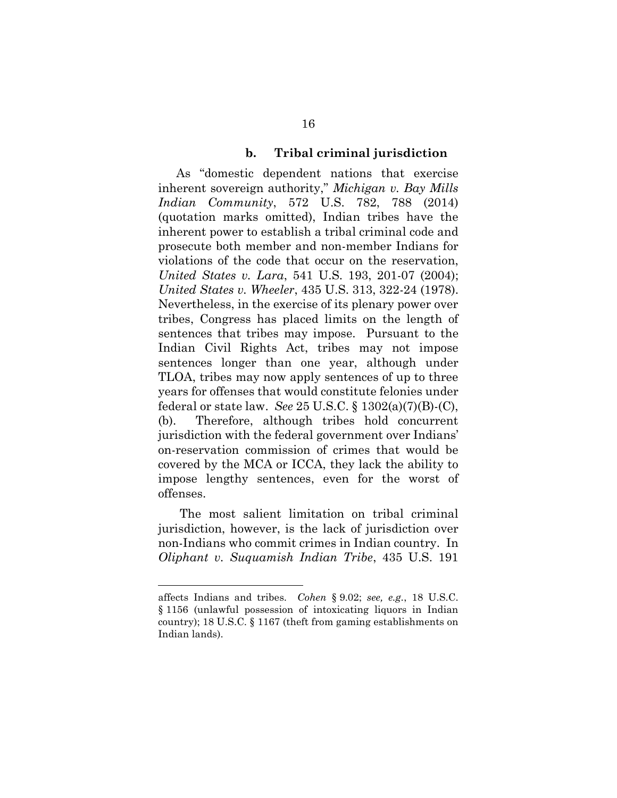#### <span id="page-25-0"></span>**b. Tribal criminal jurisdiction**

<span id="page-25-3"></span><span id="page-25-2"></span>As "domestic dependent nations that exercise inherent sovereign authority," *Michigan v. Bay Mills Indian Community*, 572 U.S. 782, 788 (2014) (quotation marks omitted), Indian tribes have the inherent power to establish a tribal criminal code and prosecute both member and non-member Indians for violations of the code that occur on the reservation, *United States v. Lara*, 541 U.S. 193, 201-07 (2004); *United States v. Wheeler*, 435 U.S. 313, 322-24 (1978). Nevertheless, in the exercise of its plenary power over tribes, Congress has placed limits on the length of sentences that tribes may impose. Pursuant to the Indian Civil Rights Act, tribes may not impose sentences longer than one year, although under TLOA, tribes may now apply sentences of up to three years for offenses that would constitute felonies under federal or state law. *See* 25 U.S.C. § 1302(a)(7)(B)-(C), (b). Therefore, although tribes hold concurrent jurisdiction with the federal government over Indians' on-reservation commission of crimes that would be covered by the MCA or ICCA, they lack the ability to impose lengthy sentences, even for the worst of offenses.

<span id="page-25-6"></span><span id="page-25-1"></span>The most salient limitation on tribal criminal jurisdiction, however, is the lack of jurisdiction over non-Indians who commit crimes in Indian country. In *Oliphant v. Suquamish Indian Tribe*, 435 U.S. 191

<span id="page-25-5"></span><span id="page-25-4"></span>affects Indians and tribes. *Cohen* § 9.02; *see, e.g.*, 18 U.S.C. § 1156 (unlawful possession of intoxicating liquors in Indian country); 18 U.S.C. § 1167 (theft from gaming establishments on Indian lands).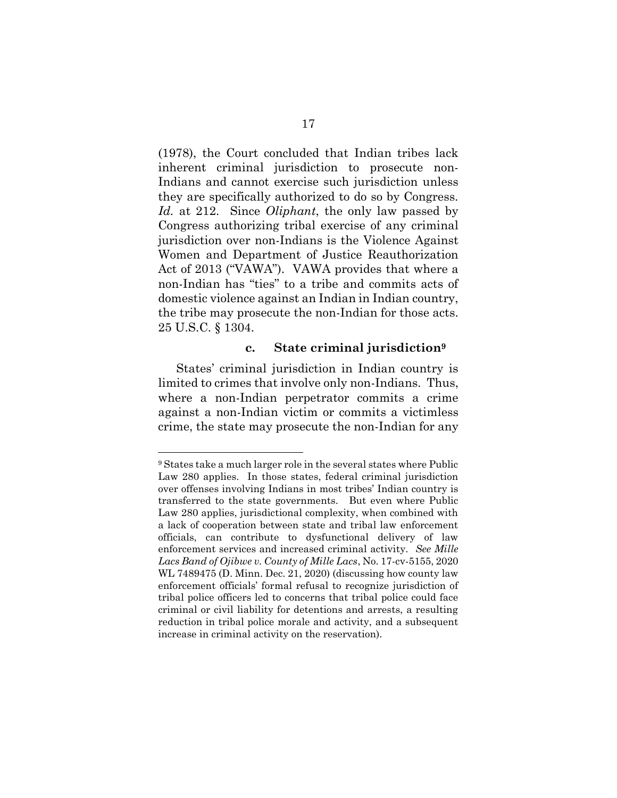(1978), the Court concluded that Indian tribes lack inherent criminal jurisdiction to prosecute non-Indians and cannot exercise such jurisdiction unless they are specifically authorized to do so by Congress. *Id.* at 212. Since *Oliphant*, the only law passed by Congress authorizing tribal exercise of any criminal jurisdiction over non-Indians is the Violence Against Women and Department of Justice Reauthorization Act of 2013 ("VAWA"). VAWA provides that where a non-Indian has "ties" to a tribe and commits acts of domestic violence against an Indian in Indian country, the tribe may prosecute the non-Indian for those acts. 25 U.S.C. § 1304.

### <span id="page-26-0"></span>**c. State criminal jurisdiction<sup>9</sup>**

<span id="page-26-1"></span>States' criminal jurisdiction in Indian country is limited to crimes that involve only non-Indians. Thus, where a non-Indian perpetrator commits a crime against a non-Indian victim or commits a victimless crime, the state may prosecute the non-Indian for any

l

<sup>9</sup> States take a much larger role in the several states where Public Law 280 applies. In those states, federal criminal jurisdiction over offenses involving Indians in most tribes' Indian country is transferred to the state governments. But even where Public Law 280 applies, jurisdictional complexity, when combined with a lack of cooperation between state and tribal law enforcement officials, can contribute to dysfunctional delivery of law enforcement services and increased criminal activity. *See Mille Lacs Band of Ojibwe v. County of Mille Lacs*, No. 17-cv-5155, 2020 WL 7489475 (D. Minn. Dec. 21, 2020) (discussing how county law enforcement officials' formal refusal to recognize jurisdiction of tribal police officers led to concerns that tribal police could face criminal or civil liability for detentions and arrests, a resulting reduction in tribal police morale and activity, and a subsequent increase in criminal activity on the reservation).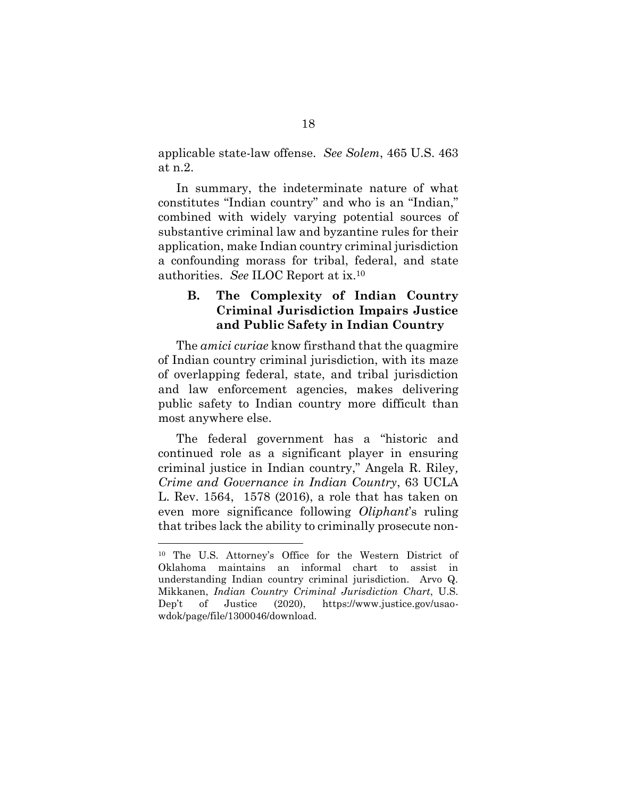<span id="page-27-0"></span>applicable state-law offense. *See Solem*, 465 U.S. 463 at n.2.

In summary, the indeterminate nature of what constitutes "Indian country" and who is an "Indian," combined with widely varying potential sources of substantive criminal law and byzantine rules for their application, make Indian country criminal jurisdiction a confounding morass for tribal, federal, and state authorities. *See* ILOC Report at ix.<sup>10</sup>

### <span id="page-27-1"></span>**B. The Complexity of Indian Country Criminal Jurisdiction Impairs Justice and Public Safety in Indian Country**

The *amici curiae* know firsthand that the quagmire of Indian country criminal jurisdiction, with its maze of overlapping federal, state, and tribal jurisdiction and law enforcement agencies, makes delivering public safety to Indian country more difficult than most anywhere else.

<span id="page-27-3"></span>The federal government has a "historic and continued role as a significant player in ensuring criminal justice in Indian country," Angela R. Riley*, Crime and Governance in Indian Country*, 63 UCLA L. Rev. 1564, 1578 (2016), a role that has taken on even more significance following *Oliphant*'s ruling that tribes lack the ability to criminally prosecute non-

<span id="page-27-2"></span><sup>10</sup> The U.S. Attorney's Office for the Western District of Oklahoma maintains an informal chart to assist in understanding Indian country criminal jurisdiction. Arvo Q. Mikkanen, *Indian Country Criminal Jurisdiction Chart*, U.S. Dep't of Justice (2020), https://www.justice.gov/usaowdok/page/file/1300046/download.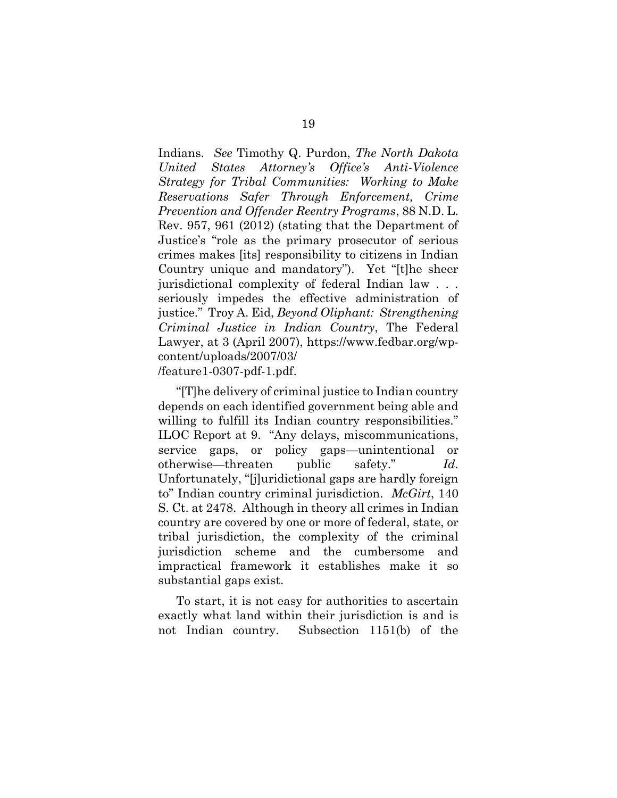<span id="page-28-1"></span>Indians. *See* Timothy Q. Purdon, *The North Dakota United States Attorney's Office's Anti-Violence Strategy for Tribal Communities: Working to Make Reservations Safer Through Enforcement, Crime Prevention and Offender Reentry Programs*, 88 N.D. L. Rev. 957, 961 (2012) (stating that the Department of Justice's "role as the primary prosecutor of serious crimes makes [its] responsibility to citizens in Indian Country unique and mandatory"). Yet "[t]he sheer jurisdictional complexity of federal Indian law . . . seriously impedes the effective administration of justice." Troy A. Eid, *Beyond Oliphant: Strengthening Criminal Justice in Indian Country*, The Federal Lawyer, at 3 (April 2007), https://www.fedbar.org/wpcontent/uploads/2007/03/ /feature1-0307-pdf-1.pdf.

<span id="page-28-0"></span>"[T]he delivery of criminal justice to Indian country depends on each identified government being able and willing to fulfill its Indian country responsibilities." ILOC Report at 9. "Any delays, miscommunications, service gaps, or policy gaps—unintentional or otherwise—threaten public safety." *Id.* Unfortunately, "[j]uridictional gaps are hardly foreign to" Indian country criminal jurisdiction. *McGirt*, 140 S. Ct. at 2478. Although in theory all crimes in Indian country are covered by one or more of federal, state, or tribal jurisdiction, the complexity of the criminal jurisdiction scheme and the cumbersome and impractical framework it establishes make it so substantial gaps exist.

To start, it is not easy for authorities to ascertain exactly what land within their jurisdiction is and is not Indian country. Subsection 1151(b) of the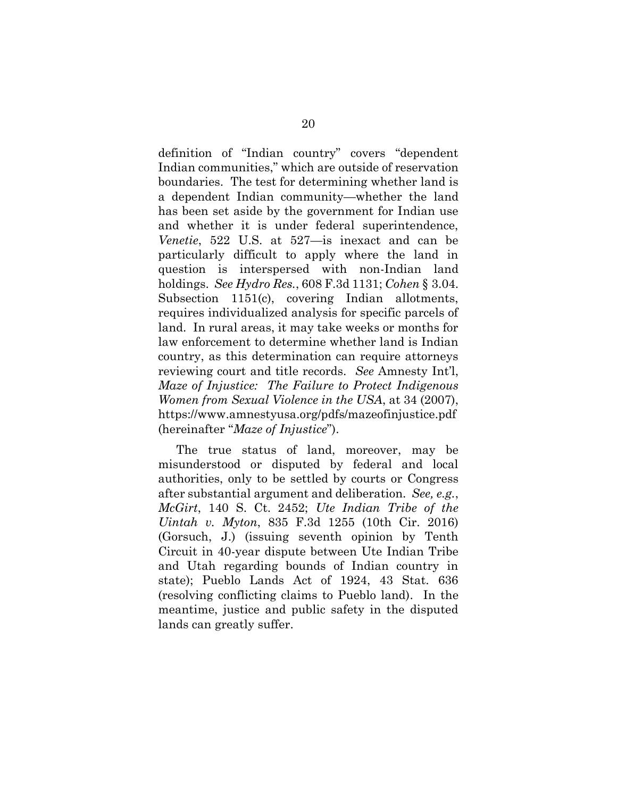definition of "Indian country" covers "dependent Indian communities," which are outside of reservation boundaries. The test for determining whether land is a dependent Indian community—whether the land has been set aside by the government for Indian use and whether it is under federal superintendence, *Venetie*, 522 U.S. at 527—is inexact and can be particularly difficult to apply where the land in question is interspersed with non-Indian land holdings. *See Hydro Res.*, 608 F.3d 1131; *Cohen* § 3.04. Subsection 1151(c), covering Indian allotments, requires individualized analysis for specific parcels of land. In rural areas, it may take weeks or months for law enforcement to determine whether land is Indian country, as this determination can require attorneys reviewing court and title records. *See* Amnesty Int'l, *Maze of Injustice: The Failure to Protect Indigenous Women from Sexual Violence in the USA*, at 34 (2007), https://www.amnestyusa.org/pdfs/mazeofinjustice.pdf (hereinafter "*Maze of Injustice*").

<span id="page-29-0"></span>The true status of land, moreover, may be misunderstood or disputed by federal and local authorities, only to be settled by courts or Congress after substantial argument and deliberation. *See, e.g.*, *McGirt*, 140 S. Ct. 2452; *Ute Indian Tribe of the Uintah v. Myton*, 835 F.3d 1255 (10th Cir. 2016) (Gorsuch, J.) (issuing seventh opinion by Tenth Circuit in 40-year dispute between Ute Indian Tribe and Utah regarding bounds of Indian country in state); Pueblo Lands Act of 1924, 43 Stat. 636 (resolving conflicting claims to Pueblo land). In the meantime, justice and public safety in the disputed lands can greatly suffer.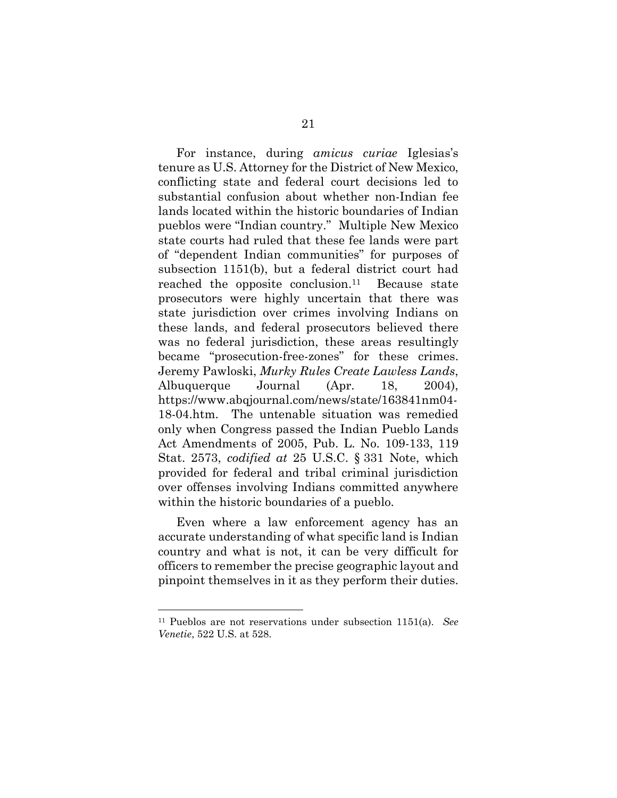For instance, during *amicus curiae* Iglesias's tenure as U.S. Attorney for the District of New Mexico, conflicting state and federal court decisions led to substantial confusion about whether non-Indian fee lands located within the historic boundaries of Indian pueblos were "Indian country." Multiple New Mexico state courts had ruled that these fee lands were part of "dependent Indian communities" for purposes of subsection 1151(b), but a federal district court had reached the opposite conclusion. Because state prosecutors were highly uncertain that there was state jurisdiction over crimes involving Indians on these lands, and federal prosecutors believed there was no federal jurisdiction, these areas resultingly became "prosecution-free-zones" for these crimes. Jeremy Pawloski, *Murky Rules Create Lawless Lands*, Albuquerque Journal (Apr. 18, 2004), https://www.abqjournal.com/news/state/163841nm04- 18-04.htm. The untenable situation was remedied only when Congress passed the Indian Pueblo Lands Act Amendments of 2005, Pub. L. No. 109-133, 119 Stat. 2573, *codified at* 25 U.S.C. § 331 Note, which provided for federal and tribal criminal jurisdiction over offenses involving Indians committed anywhere within the historic boundaries of a pueblo.

<span id="page-30-2"></span><span id="page-30-1"></span>Even where a law enforcement agency has an accurate understanding of what specific land is Indian country and what is not, it can be very difficult for officers to remember the precise geographic layout and pinpoint themselves in it as they perform their duties.

<span id="page-30-0"></span><sup>11</sup> Pueblos are not reservations under subsection 1151(a). *See Venetie*, 522 U.S. at 528.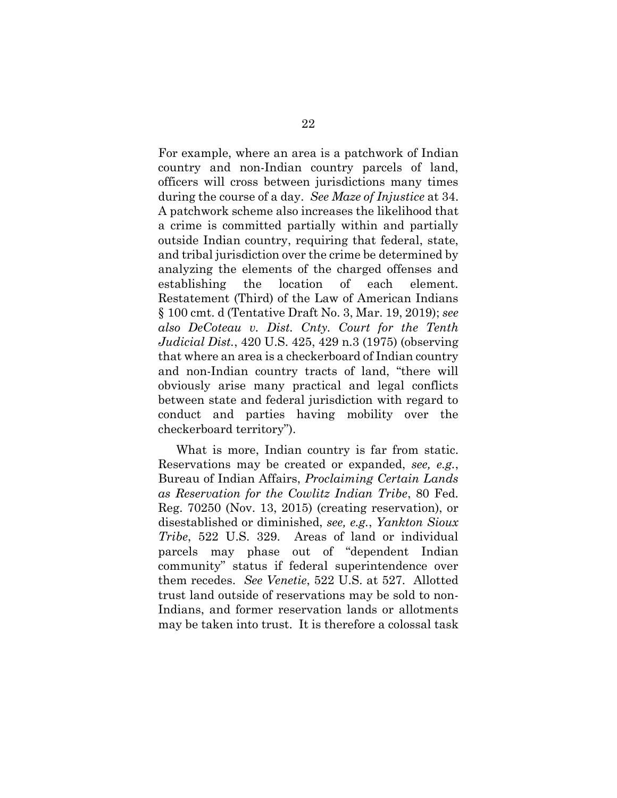<span id="page-31-5"></span><span id="page-31-3"></span>For example, where an area is a patchwork of Indian country and non-Indian country parcels of land, officers will cross between jurisdictions many times during the course of a day. *See Maze of Injustice* at 34. A patchwork scheme also increases the likelihood that a crime is committed partially within and partially outside Indian country, requiring that federal, state, and tribal jurisdiction over the crime be determined by analyzing the elements of the charged offenses and establishing the location of each element. Restatement (Third) of the Law of American Indians § 100 cmt. d (Tentative Draft No. 3, Mar. 19, 2019); *see also DeCoteau v. Dist. Cnty. Court for the Tenth Judicial Dist.*, 420 U.S. 425, 429 n.3 (1975) (observing that where an area is a checkerboard of Indian country and non-Indian country tracts of land, "there will obviously arise many practical and legal conflicts between state and federal jurisdiction with regard to conduct and parties having mobility over the checkerboard territory").

<span id="page-31-4"></span><span id="page-31-2"></span><span id="page-31-1"></span><span id="page-31-0"></span>What is more, Indian country is far from static. Reservations may be created or expanded, *see, e.g.*, Bureau of Indian Affairs, *Proclaiming Certain Lands as Reservation for the Cowlitz Indian Tribe*, 80 Fed. Reg. 70250 (Nov. 13, 2015) (creating reservation), or disestablished or diminished, *see, e.g.*, *Yankton Sioux Tribe*, 522 U.S. 329. Areas of land or individual parcels may phase out of "dependent Indian community" status if federal superintendence over them recedes. *See Venetie*, 522 U.S. at 527. Allotted trust land outside of reservations may be sold to non-Indians, and former reservation lands or allotments may be taken into trust. It is therefore a colossal task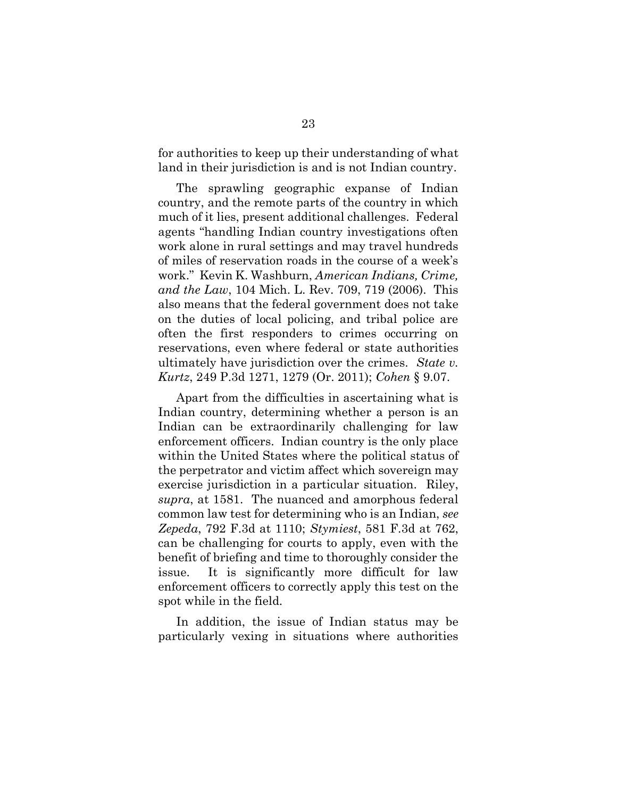for authorities to keep up their understanding of what land in their jurisdiction is and is not Indian country.

<span id="page-32-3"></span>The sprawling geographic expanse of Indian country, and the remote parts of the country in which much of it lies, present additional challenges. Federal agents "handling Indian country investigations often work alone in rural settings and may travel hundreds of miles of reservation roads in the course of a week's work." Kevin K. Washburn, *American Indians, Crime, and the Law*, 104 Mich. L. Rev. 709, 719 (2006). This also means that the federal government does not take on the duties of local policing, and tribal police are often the first responders to crimes occurring on reservations, even where federal or state authorities ultimately have jurisdiction over the crimes. *State v. Kurtz*, 249 P.3d 1271, 1279 (Or. 2011); *Cohen* § 9.07.

<span id="page-32-0"></span>Apart from the difficulties in ascertaining what is Indian country, determining whether a person is an Indian can be extraordinarily challenging for law enforcement officers. Indian country is the only place within the United States where the political status of the perpetrator and victim affect which sovereign may exercise jurisdiction in a particular situation. Riley, *supra*, at 1581. The nuanced and amorphous federal common law test for determining who is an Indian, *see Zepeda*, 792 F.3d at 1110; *Stymiest*, 581 F.3d at 762, can be challenging for courts to apply, even with the benefit of briefing and time to thoroughly consider the issue. It is significantly more difficult for law enforcement officers to correctly apply this test on the spot while in the field.

<span id="page-32-2"></span><span id="page-32-1"></span>In addition, the issue of Indian status may be particularly vexing in situations where authorities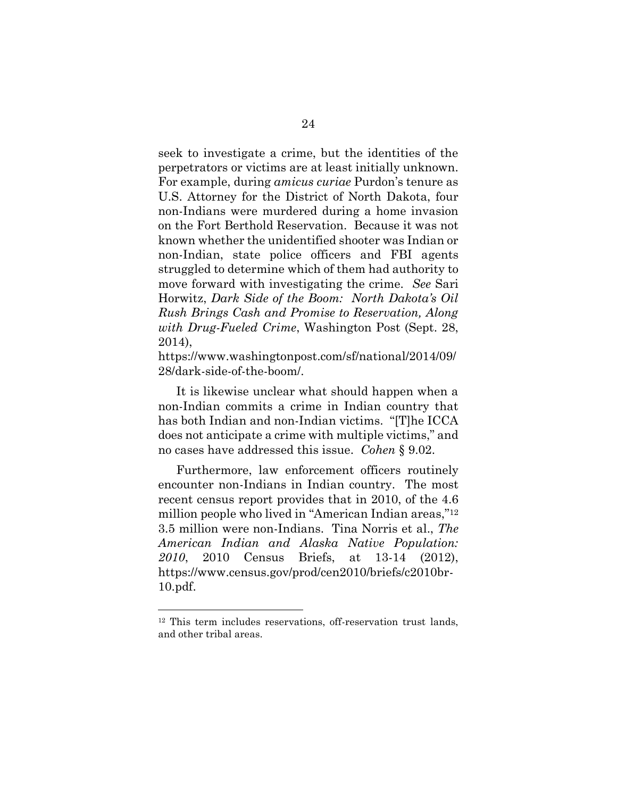seek to investigate a crime, but the identities of the perpetrators or victims are at least initially unknown. For example, during *amicus curiae* Purdon's tenure as U.S. Attorney for the District of North Dakota, four non-Indians were murdered during a home invasion on the Fort Berthold Reservation. Because it was not known whether the unidentified shooter was Indian or non-Indian, state police officers and FBI agents struggled to determine which of them had authority to move forward with investigating the crime. *See* Sari Horwitz, *Dark Side of the Boom: North Dakota's Oil Rush Brings Cash and Promise to Reservation, Along with Drug-Fueled Crime*, Washington Post (Sept. 28, 2014),

<span id="page-33-0"></span>https://www.washingtonpost.com/sf/national/2014/09/ 28/dark-side-of-the-boom/.

It is likewise unclear what should happen when a non-Indian commits a crime in Indian country that has both Indian and non-Indian victims. "[T]he ICCA does not anticipate a crime with multiple victims," and no cases have addressed this issue. *Cohen* § 9.02.

<span id="page-33-1"></span>Furthermore, law enforcement officers routinely encounter non-Indians in Indian country. The most recent census report provides that in 2010, of the 4.6 million people who lived in "American Indian areas," 12 3.5 million were non-Indians. Tina Norris et al., *The American Indian and Alaska Native Population: 2010*, 2010 Census Briefs, at 13-14 (2012), https://www.census.gov/prod/cen2010/briefs/c2010br-10.pdf.

<sup>12</sup> This term includes reservations, off-reservation trust lands, and other tribal areas.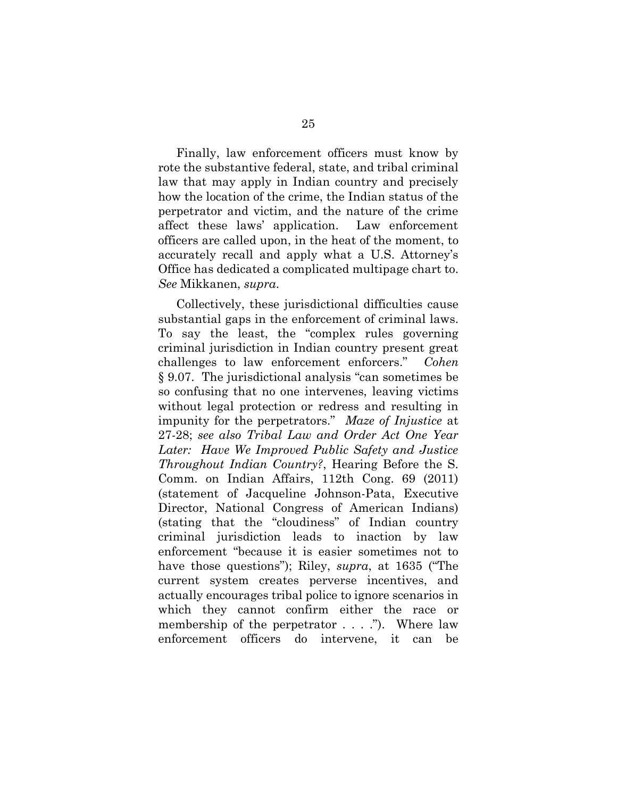Finally, law enforcement officers must know by rote the substantive federal, state, and tribal criminal law that may apply in Indian country and precisely how the location of the crime, the Indian status of the perpetrator and victim, and the nature of the crime affect these laws' application. Law enforcement officers are called upon, in the heat of the moment, to accurately recall and apply what a U.S. Attorney's Office has dedicated a complicated multipage chart to. *See* Mikkanen, *supra*.

<span id="page-34-1"></span><span id="page-34-0"></span>Collectively, these jurisdictional difficulties cause substantial gaps in the enforcement of criminal laws. To say the least, the "complex rules governing criminal jurisdiction in Indian country present great challenges to law enforcement enforcers." *Cohen*  § 9.07. The jurisdictional analysis "can sometimes be so confusing that no one intervenes, leaving victims without legal protection or redress and resulting in impunity for the perpetrators." *Maze of Injustice* at 27-28; *see also Tribal Law and Order Act One Year Later: Have We Improved Public Safety and Justice Throughout Indian Country?*, Hearing Before the S. Comm. on Indian Affairs, 112th Cong. 69 (2011) (statement of Jacqueline Johnson-Pata, Executive Director, National Congress of American Indians) (stating that the "cloudiness" of Indian country criminal jurisdiction leads to inaction by law enforcement "because it is easier sometimes not to have those questions"); Riley, *supra*, at 1635 ("The current system creates perverse incentives, and actually encourages tribal police to ignore scenarios in which they cannot confirm either the race or membership of the perpetrator . . . ."). Where law enforcement officers do intervene, it can be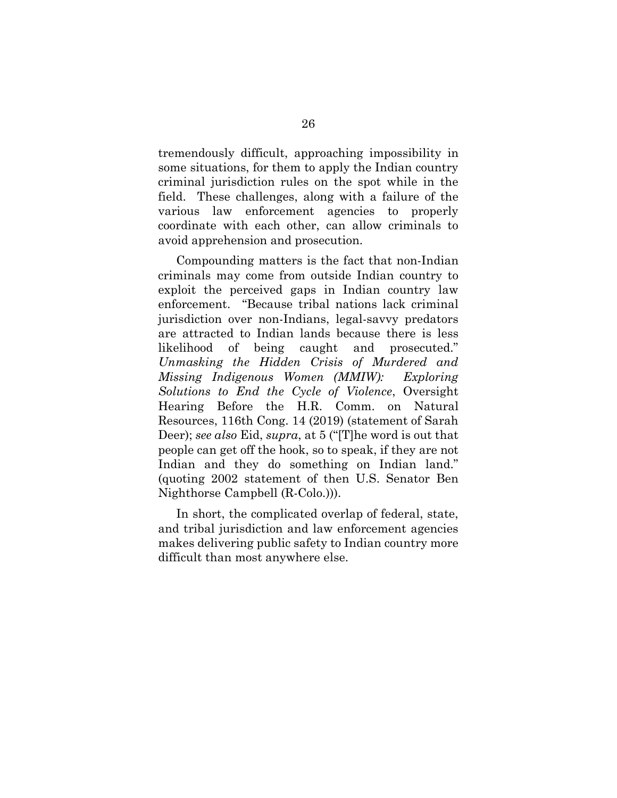tremendously difficult, approaching impossibility in some situations, for them to apply the Indian country criminal jurisdiction rules on the spot while in the field. These challenges, along with a failure of the various law enforcement agencies to properly coordinate with each other, can allow criminals to avoid apprehension and prosecution.

Compounding matters is the fact that non-Indian criminals may come from outside Indian country to exploit the perceived gaps in Indian country law enforcement. "Because tribal nations lack criminal jurisdiction over non-Indians, legal-savvy predators are attracted to Indian lands because there is less likelihood of being caught and prosecuted." *Unmasking the Hidden Crisis of Murdered and Missing Indigenous Women (MMIW): Exploring Solutions to End the Cycle of Violence*, Oversight Hearing Before the H.R. Comm. on Natural Resources, 116th Cong. 14 (2019) (statement of Sarah Deer); *see also* Eid, *supra*, at 5 ("[T]he word is out that people can get off the hook, so to speak, if they are not Indian and they do something on Indian land." (quoting 2002 statement of then U.S. Senator Ben Nighthorse Campbell (R-Colo.))).

In short, the complicated overlap of federal, state, and tribal jurisdiction and law enforcement agencies makes delivering public safety to Indian country more difficult than most anywhere else.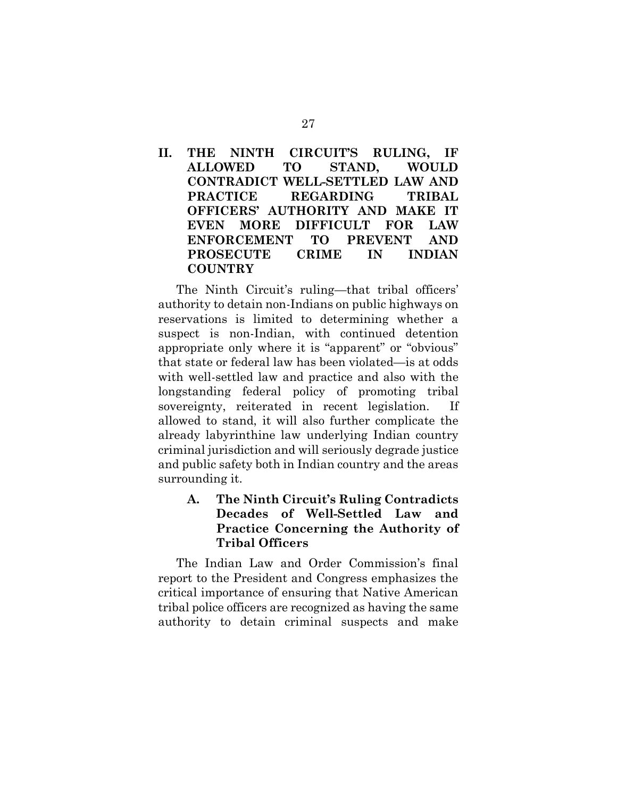## **II. THE NINTH CIRCUIT'S RULING, IF ALLOWED TO STAND, WOULD CONTRADICT WELL-SETTLED LAW AND PRACTICE REGARDING TRIBAL OFFICERS' AUTHORITY AND MAKE IT EVEN MORE DIFFICULT FOR LAW ENFORCEMENT TO PREVENT AND PROSECUTE CRIME IN INDIAN COUNTRY**

The Ninth Circuit's ruling—that tribal officers' authority to detain non-Indians on public highways on reservations is limited to determining whether a suspect is non-Indian, with continued detention appropriate only where it is "apparent" or "obvious" that state or federal law has been violated—is at odds with well-settled law and practice and also with the longstanding federal policy of promoting tribal sovereignty, reiterated in recent legislation. If allowed to stand, it will also further complicate the already labyrinthine law underlying Indian country criminal jurisdiction and will seriously degrade justice and public safety both in Indian country and the areas surrounding it.

## **A. The Ninth Circuit's Ruling Contradicts Decades of Well-Settled Law and Practice Concerning the Authority of Tribal Officers**

The Indian Law and Order Commission's final report to the President and Congress emphasizes the critical importance of ensuring that Native American tribal police officers are recognized as having the same authority to detain criminal suspects and make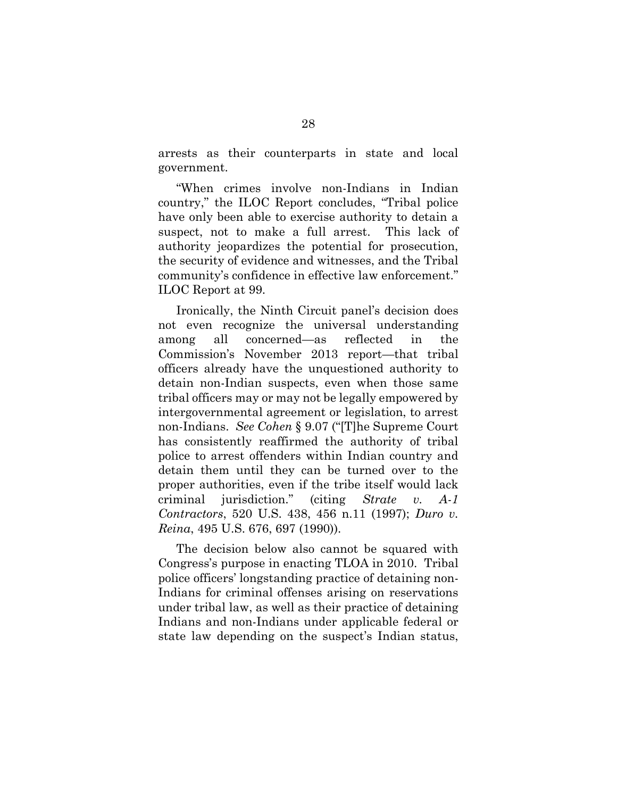arrests as their counterparts in state and local government.

"When crimes involve non-Indians in Indian country," the ILOC Report concludes, "Tribal police have only been able to exercise authority to detain a suspect, not to make a full arrest. This lack of authority jeopardizes the potential for prosecution, the security of evidence and witnesses, and the Tribal community's confidence in effective law enforcement." ILOC Report at 99.

Ironically, the Ninth Circuit panel's decision does not even recognize the universal understanding among all concerned—as reflected in the Commission's November 2013 report—that tribal officers already have the unquestioned authority to detain non-Indian suspects, even when those same tribal officers may or may not be legally empowered by intergovernmental agreement or legislation, to arrest non-Indians. *See Cohen* § 9.07 ("[T]he Supreme Court has consistently reaffirmed the authority of tribal police to arrest offenders within Indian country and detain them until they can be turned over to the proper authorities, even if the tribe itself would lack criminal jurisdiction." (citing *Strate v. A-1 Contractors*, 520 U.S. 438, 456 n.11 (1997); *Duro v. Reina*, 495 U.S. 676, 697 (1990)).

The decision below also cannot be squared with Congress's purpose in enacting TLOA in 2010. Tribal police officers' longstanding practice of detaining non-Indians for criminal offenses arising on reservations under tribal law, as well as their practice of detaining Indians and non-Indians under applicable federal or state law depending on the suspect's Indian status,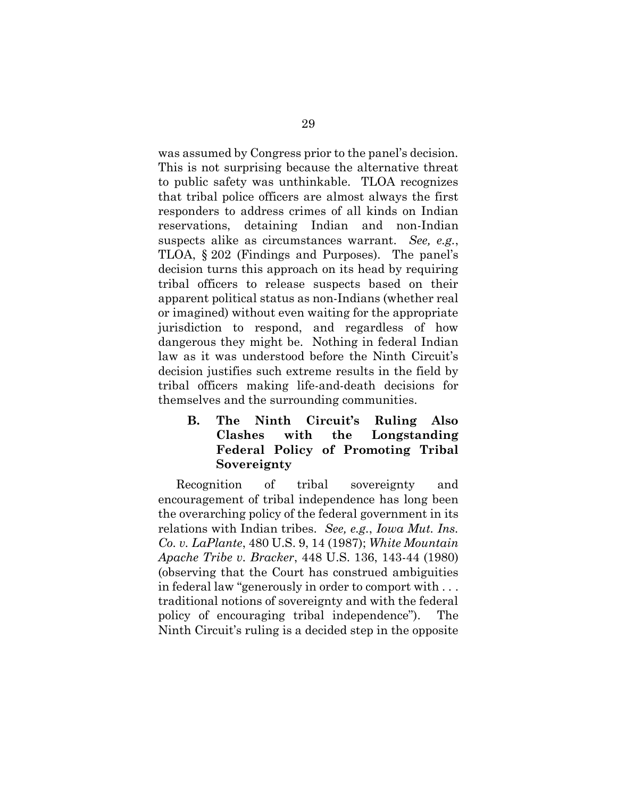was assumed by Congress prior to the panel's decision. This is not surprising because the alternative threat to public safety was unthinkable. TLOA recognizes that tribal police officers are almost always the first responders to address crimes of all kinds on Indian reservations, detaining Indian and non-Indian suspects alike as circumstances warrant. *See, e.g.*, TLOA, § 202 (Findings and Purposes). The panel's decision turns this approach on its head by requiring tribal officers to release suspects based on their apparent political status as non-Indians (whether real or imagined) without even waiting for the appropriate jurisdiction to respond, and regardless of how dangerous they might be. Nothing in federal Indian law as it was understood before the Ninth Circuit's decision justifies such extreme results in the field by tribal officers making life-and-death decisions for themselves and the surrounding communities.

<span id="page-38-0"></span>**B. The Ninth Circuit's Ruling Also Clashes with the Longstanding Federal Policy of Promoting Tribal Sovereignty** 

<span id="page-38-1"></span>Recognition of tribal sovereignty and encouragement of tribal independence has long been the overarching policy of the federal government in its relations with Indian tribes. *See, e.g.*, *Iowa Mut. Ins. Co. v. LaPlante*, 480 U.S. 9, 14 (1987); *White Mountain Apache Tribe v. Bracker*, 448 U.S. 136, 143-44 (1980) (observing that the Court has construed ambiguities in federal law "generously in order to comport with . . . traditional notions of sovereignty and with the federal policy of encouraging tribal independence"). The Ninth Circuit's ruling is a decided step in the opposite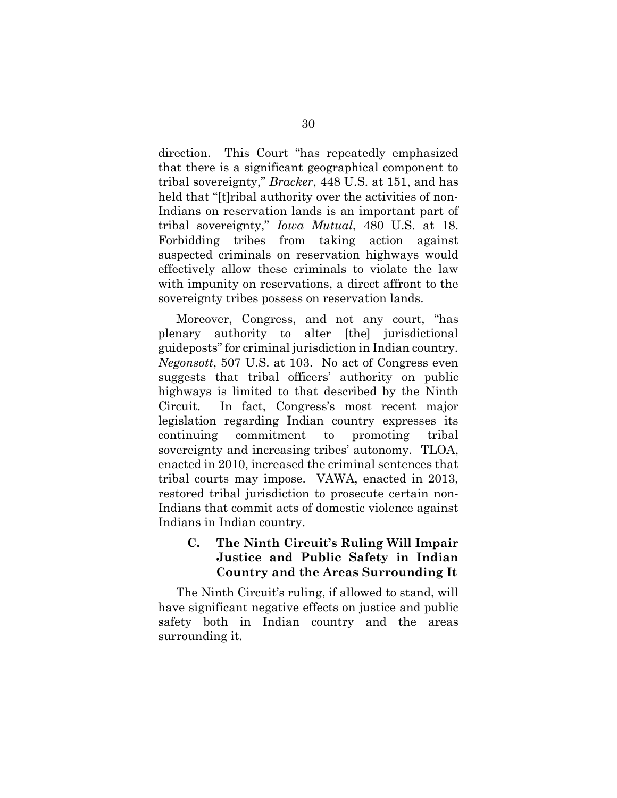direction. This Court "has repeatedly emphasized that there is a significant geographical component to tribal sovereignty," *Bracker*, 448 U.S. at 151, and has held that "[t]ribal authority over the activities of non-Indians on reservation lands is an important part of tribal sovereignty," *Iowa Mutual*, 480 U.S. at 18. Forbidding tribes from taking action against suspected criminals on reservation highways would effectively allow these criminals to violate the law with impunity on reservations, a direct affront to the sovereignty tribes possess on reservation lands.

Moreover, Congress, and not any court, "has plenary authority to alter [the] jurisdictional guideposts" for criminal jurisdiction in Indian country. *Negonsott*, 507 U.S. at 103. No act of Congress even suggests that tribal officers' authority on public highways is limited to that described by the Ninth Circuit. In fact, Congress's most recent major legislation regarding Indian country expresses its continuing commitment to promoting tribal sovereignty and increasing tribes' autonomy. TLOA, enacted in 2010, increased the criminal sentences that tribal courts may impose. VAWA, enacted in 2013, restored tribal jurisdiction to prosecute certain non-Indians that commit acts of domestic violence against Indians in Indian country.

### **C. The Ninth Circuit's Ruling Will Impair Justice and Public Safety in Indian Country and the Areas Surrounding It**

The Ninth Circuit's ruling, if allowed to stand, will have significant negative effects on justice and public safety both in Indian country and the areas surrounding it.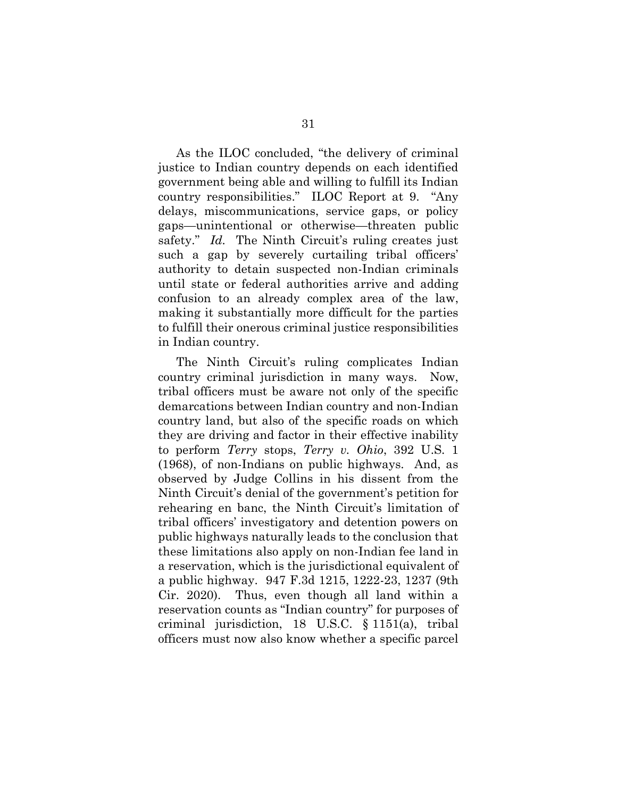As the ILOC concluded, "the delivery of criminal justice to Indian country depends on each identified government being able and willing to fulfill its Indian country responsibilities." ILOC Report at 9. "Any delays, miscommunications, service gaps, or policy gaps—unintentional or otherwise—threaten public safety." *Id.* The Ninth Circuit's ruling creates just such a gap by severely curtailing tribal officers' authority to detain suspected non-Indian criminals until state or federal authorities arrive and adding confusion to an already complex area of the law, making it substantially more difficult for the parties to fulfill their onerous criminal justice responsibilities in Indian country.

<span id="page-40-1"></span><span id="page-40-0"></span>The Ninth Circuit's ruling complicates Indian country criminal jurisdiction in many ways. Now, tribal officers must be aware not only of the specific demarcations between Indian country and non-Indian country land, but also of the specific roads on which they are driving and factor in their effective inability to perform *Terry* stops, *Terry v. Ohio*, 392 U.S. 1 (1968), of non-Indians on public highways. And, as observed by Judge Collins in his dissent from the Ninth Circuit's denial of the government's petition for rehearing en banc, the Ninth Circuit's limitation of tribal officers' investigatory and detention powers on public highways naturally leads to the conclusion that these limitations also apply on non-Indian fee land in a reservation, which is the jurisdictional equivalent of a public highway. 947 F.3d 1215, 1222-23, 1237 (9th Cir. 2020). Thus, even though all land within a reservation counts as "Indian country" for purposes of criminal jurisdiction, 18 U.S.C. § 1151(a), tribal officers must now also know whether a specific parcel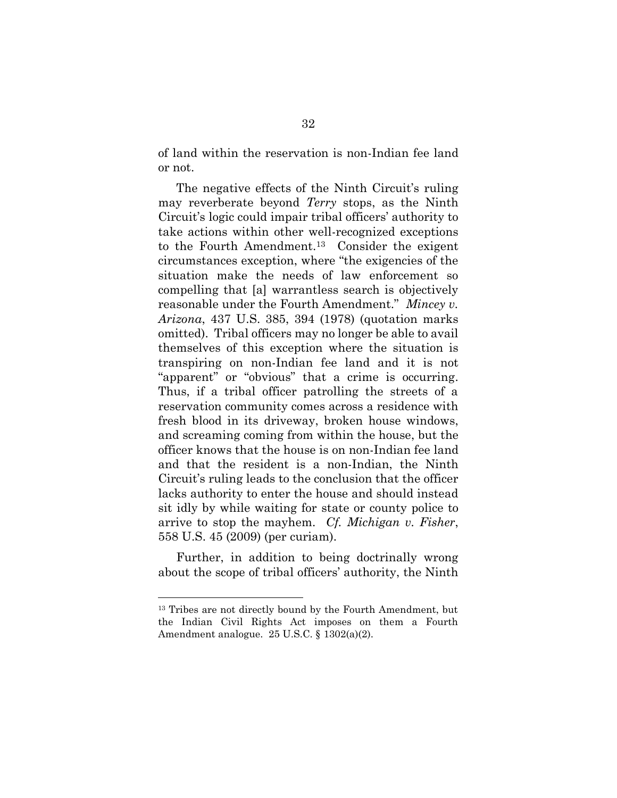of land within the reservation is non-Indian fee land or not.

<span id="page-41-1"></span>The negative effects of the Ninth Circuit's ruling may reverberate beyond *Terry* stops, as the Ninth Circuit's logic could impair tribal officers' authority to take actions within other well-recognized exceptions to the Fourth Amendment.13 Consider the exigent circumstances exception, where "the exigencies of the situation make the needs of law enforcement so compelling that [a] warrantless search is objectively reasonable under the Fourth Amendment." *Mincey v. Arizona*, 437 U.S. 385, 394 (1978) (quotation marks omitted). Tribal officers may no longer be able to avail themselves of this exception where the situation is transpiring on non-Indian fee land and it is not "apparent" or "obvious" that a crime is occurring. Thus, if a tribal officer patrolling the streets of a reservation community comes across a residence with fresh blood in its driveway, broken house windows, and screaming coming from within the house, but the officer knows that the house is on non-Indian fee land and that the resident is a non-Indian, the Ninth Circuit's ruling leads to the conclusion that the officer lacks authority to enter the house and should instead sit idly by while waiting for state or county police to arrive to stop the mayhem. *Cf. Michigan v. Fisher*, 558 U.S. 45 (2009) (per curiam).

<span id="page-41-0"></span>Further, in addition to being doctrinally wrong about the scope of tribal officers' authority, the Ninth

<span id="page-41-2"></span><sup>&</sup>lt;sup>13</sup> Tribes are not directly bound by the Fourth Amendment, but the Indian Civil Rights Act imposes on them a Fourth Amendment analogue. 25 U.S.C. § 1302(a)(2).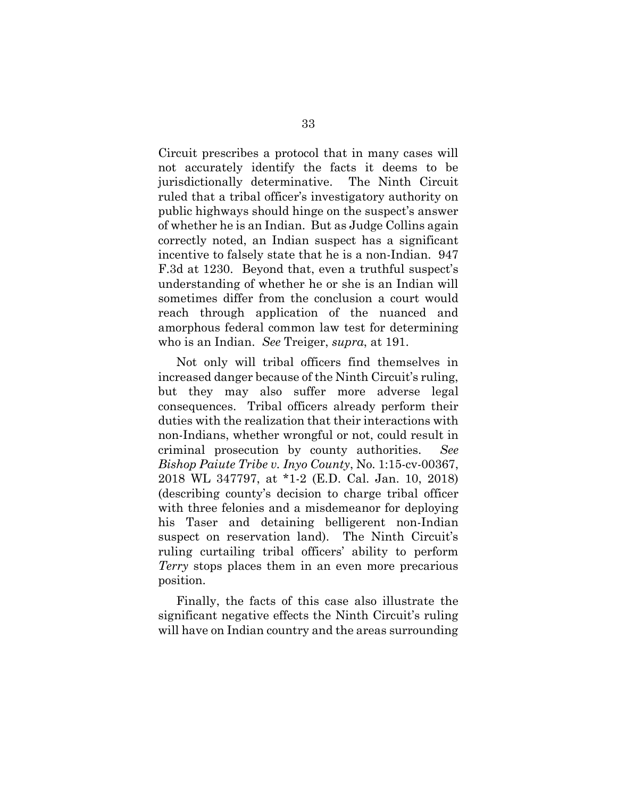Circuit prescribes a protocol that in many cases will not accurately identify the facts it deems to be jurisdictionally determinative. The Ninth Circuit ruled that a tribal officer's investigatory authority on public highways should hinge on the suspect's answer of whether he is an Indian. But as Judge Collins again correctly noted, an Indian suspect has a significant incentive to falsely state that he is a non-Indian. 947 F.3d at 1230. Beyond that, even a truthful suspect's understanding of whether he or she is an Indian will sometimes differ from the conclusion a court would reach through application of the nuanced and amorphous federal common law test for determining who is an Indian. *See* Treiger, *supra*, at 191.

<span id="page-42-0"></span>Not only will tribal officers find themselves in increased danger because of the Ninth Circuit's ruling, but they may also suffer more adverse legal consequences. Tribal officers already perform their duties with the realization that their interactions with non-Indians, whether wrongful or not, could result in criminal prosecution by county authorities. *See Bishop Paiute Tribe v. Inyo County*, No. 1:15-cv-00367, 2018 WL 347797, at \*1-2 (E.D. Cal. Jan. 10, 2018) (describing county's decision to charge tribal officer with three felonies and a misdemeanor for deploying his Taser and detaining belligerent non-Indian suspect on reservation land). The Ninth Circuit's ruling curtailing tribal officers' ability to perform *Terry* stops places them in an even more precarious position.

Finally, the facts of this case also illustrate the significant negative effects the Ninth Circuit's ruling will have on Indian country and the areas surrounding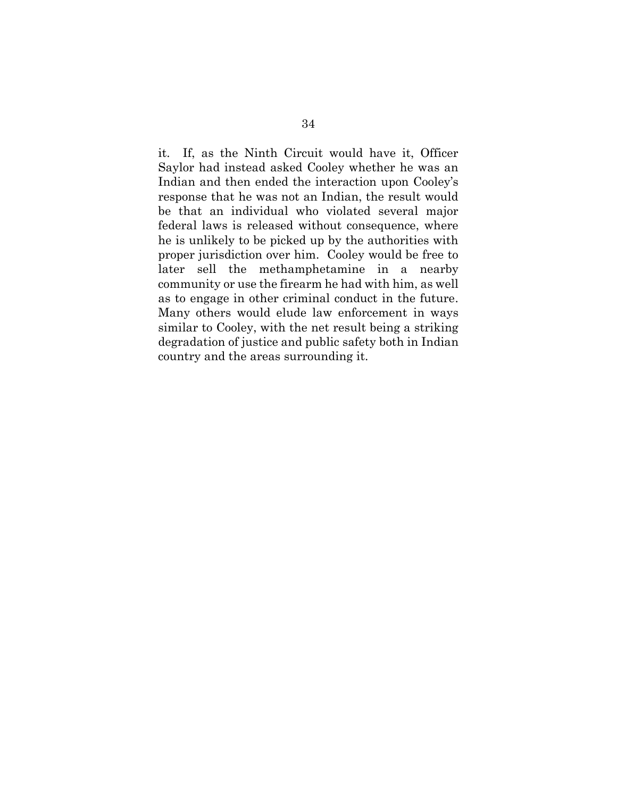it. If, as the Ninth Circuit would have it, Officer Saylor had instead asked Cooley whether he was an Indian and then ended the interaction upon Cooley's response that he was not an Indian, the result would be that an individual who violated several major federal laws is released without consequence, where he is unlikely to be picked up by the authorities with proper jurisdiction over him. Cooley would be free to later sell the methamphetamine in a nearby community or use the firearm he had with him, as well as to engage in other criminal conduct in the future. Many others would elude law enforcement in ways similar to Cooley, with the net result being a striking degradation of justice and public safety both in Indian country and the areas surrounding it.